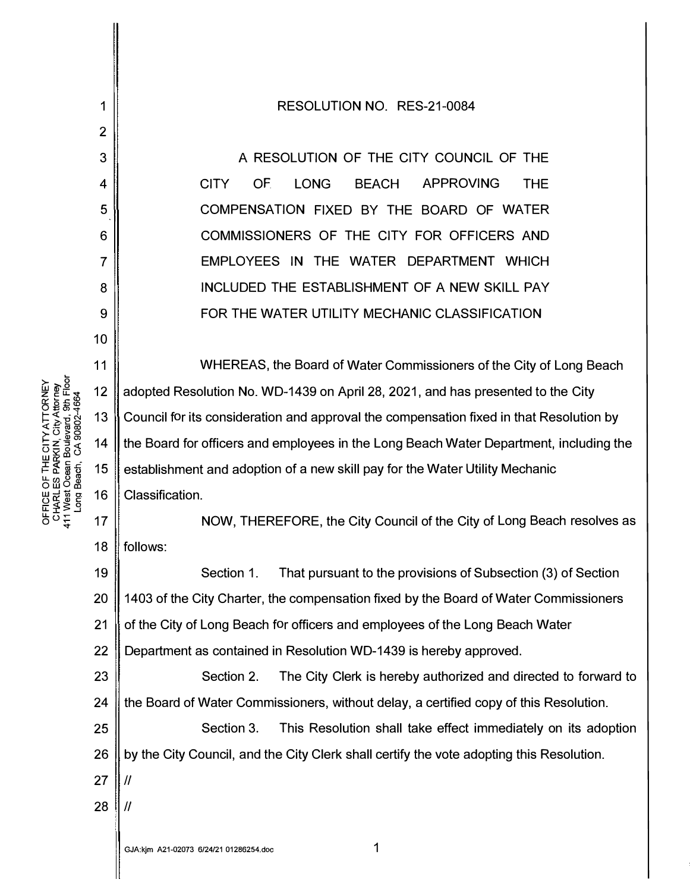1 2 3 4 5 6 7 8 9 10 11 12 13 14 15 16 17 18 19 20 21 22 23 24 25 26 RESOLUTION NO. RES-21-0084 A RESOLUTION OF THE CITY COUNCIL OF THE CITY OF LONG BEACH APPROVING THE COMPENSATION FIXED BY THE BOARD OF WATER COMMISSIONERS OF THE CITY FOR OFFICERS AND EMPLOYEES IN THE WATER DEPARTMENT WHICH INCLUDED THE ESTABLISHMENT OF A NEW SKILL PAY FOR THE WATER UTILITY MECHANIC CLASSIFICATION WHEREAS, the Board of Water Commissioners of the City of Long Beach adopted Resolution No. WD-1439 on April 28, 2021, and has presented to the City Council for its consideration and approval the compensation fixed in that Resolution by the Board for officers and employees in the Long Beach Water Department, including the establishment and adoption of a new skill pay for the Water Utility Mechanic Classification. NOW, THEREFORE, the City Council of the City of Long Beach resolves as follows: Section 1. That pursuant to the provisions of Subsection (3) of Section 1403 of the City Charter, the compensation fixed by the Board of Water Commissioners of the City of Long Beach for officers and employees of the Long Beach Water Department as contained in Resolution WD-1439 is hereby approved. Section 2. The City Clerk is hereby authorized and directed to forward to the Board of Water Commissioners, without delay, a certified copy of this Resolution. Section 3. This Resolution shall take effect immediately on its adoption by the City Council, and the City Clerk shall certify the vote adopting this Resolution.  $27$  ||  $\prime\prime$ 28  $\parallel$  //

 $\rho_0 \dot{z}$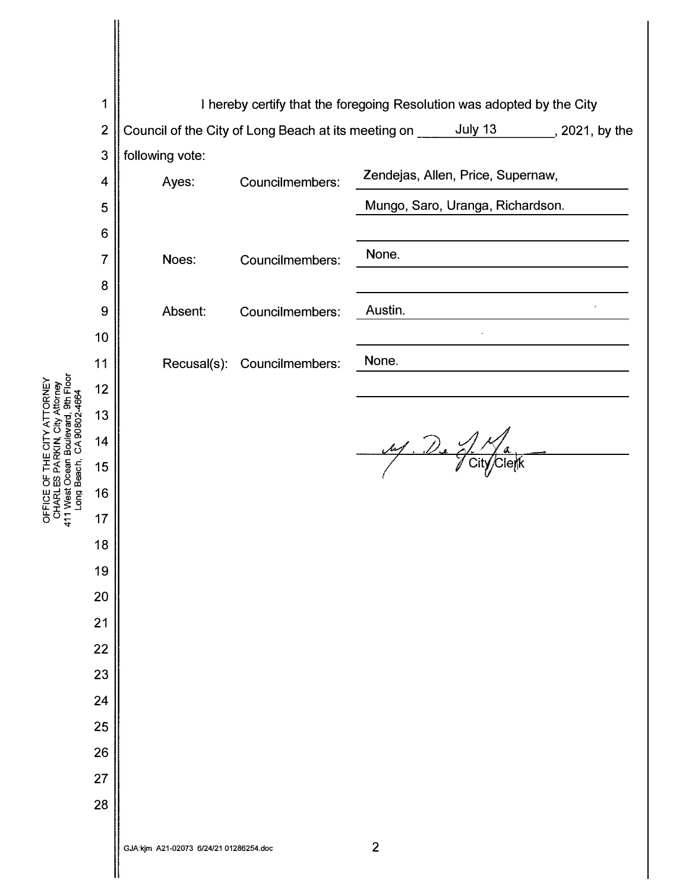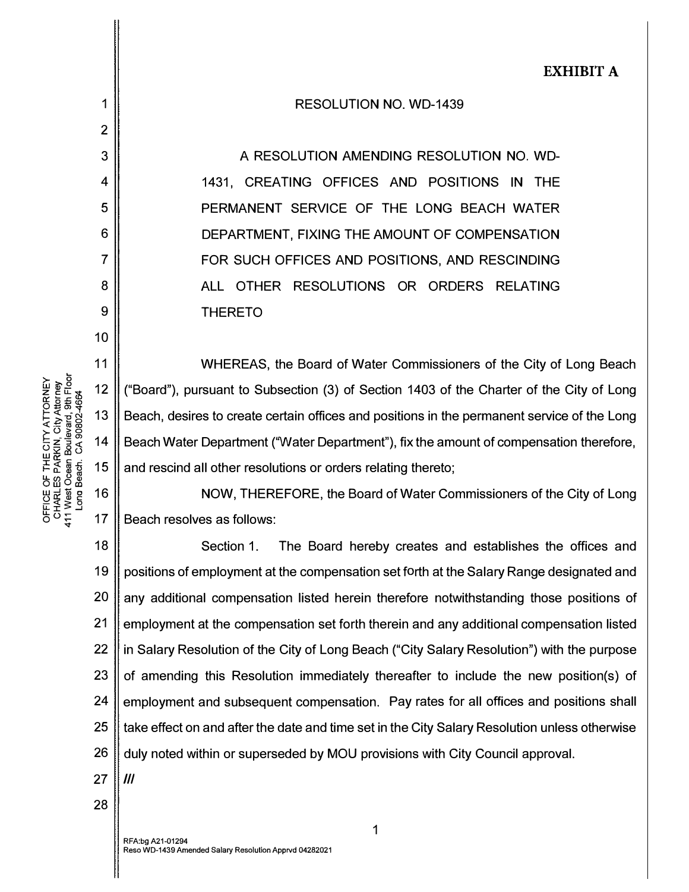## RESOLUTION NO. WD-1439

A RESOLUTION AMENDING RESOLUTION NO. WD-1431, CREATING OFFICES AND POSITIONS IN THE PERMANENT SERVICE OF THE LONG BEACH WATER DEPARTMENT, FIXING THE AMOUNT OF COMPENSATION FOR SUCH OFFICES AND POSITIONS, AND RESCINDING ALL OTHER RESOLUTIONS OR ORDERS RELATING THERETO

11 12 13 14 15 WHEREAS, the Board of Water Commissioners of the City of Long Beach ("Board"), pursuant to Subsection (3) of Section 1403 of the Charter of the City of Long Beach, desires to create certain offices and positions in the permanent service of the Long Beach Water Department ('Water Department"), fix the amount of compensation therefore, and rescind all other resolutions or orders relating thereto;

16 17 NOW, THEREFORE, the Board of Water Commissioners of the City of Long Beach resolves as follows:

18 19 20 21 22 23 24 25 26 Section 1. The Board hereby creates and establishes the offices and positions of employment at the compensation set forth at the Salary Range designated and any additional compensation listed herein therefore notwithstanding those positions of employment at the compensation set forth therein and any additional compensation listed in Salary Resolution of the City of Long Beach ("City Salary Resolution") with the purpose of amending this Resolution immediately thereafter to include the new position(s) of employment and subsequent compensation. Pay rates for all offices and positions shall take effect on and after the date and time set in the City Salary Resolution unless otherwise duly noted within or superseded by MOU provisions with City Council approval.

1

28

27 || *III* 

TORNEY<br>Attorney<br>, 9th Floor<br>?-4664

1

2

3

4

5

6

7

8

9

10

Y ATT<br>City A<br>evard,<br>90802-

THE CIT<br>PARKIN,<br>ean Boule<br>sch. CA 9

r n<br>50 dese

OFFICE C<br>CHARLE<br>CHARLE<br>411 West (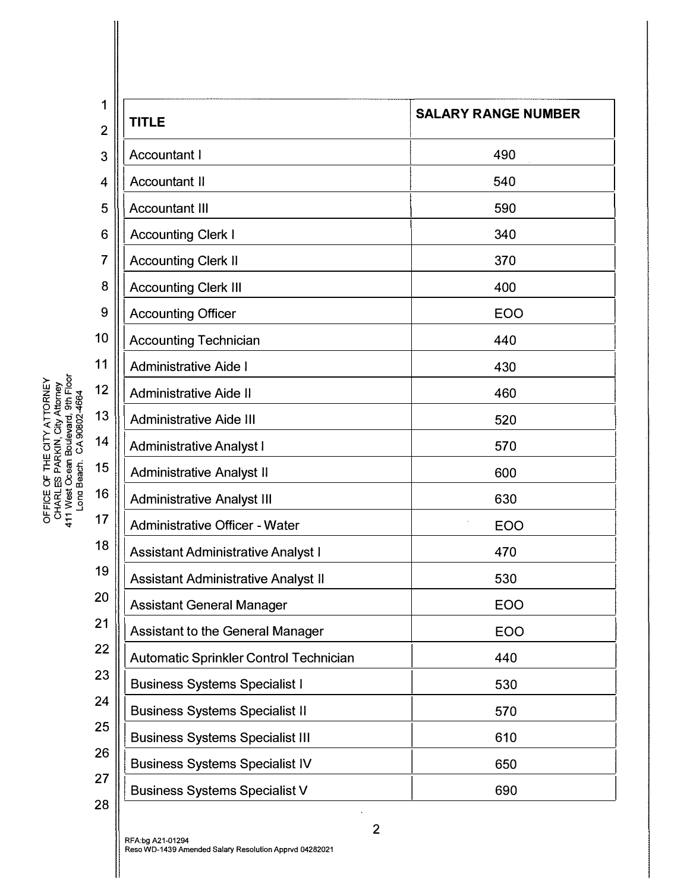| 1              |                                            |                            |
|----------------|--------------------------------------------|----------------------------|
| $\overline{2}$ | <b>TITLE</b>                               | <b>SALARY RANGE NUMBER</b> |
| 3              | <b>Accountant I</b>                        | 490                        |
| 4              | <b>Accountant II</b>                       | 540                        |
| 5              | <b>Accountant III</b>                      | 590                        |
| 6              | <b>Accounting Clerk I</b>                  | 340                        |
| 7              | <b>Accounting Clerk II</b>                 | 370                        |
| 8              | <b>Accounting Clerk III</b>                | 400                        |
| 9              | <b>Accounting Officer</b>                  | <b>EOO</b>                 |
| 10             | <b>Accounting Technician</b>               | 440                        |
| 11             | <b>Administrative Aide I</b>               | 430                        |
| 12             | <b>Administrative Aide II</b>              | 460                        |
| 13             | <b>Administrative Aide III</b>             | 520                        |
| 14             | <b>Administrative Analyst I</b>            | 570                        |
| 15             | <b>Administrative Analyst II</b>           | 600                        |
| 16             | <b>Administrative Analyst III</b>          | 630                        |
| 17             | <b>Administrative Officer - Water</b>      | <b>EOO</b>                 |
| 18             | <b>Assistant Administrative Analyst I</b>  | 470                        |
| 19             | <b>Assistant Administrative Analyst II</b> | 530                        |
| 20             | <b>Assistant General Manager</b>           | EOO                        |
| 21             | <b>Assistant to the General Manager</b>    | <b>EOO</b>                 |
| 22             | Automatic Sprinkler Control Technician     | 440                        |
| 23             | <b>Business Systems Specialist I</b>       | 530                        |
| 24             | <b>Business Systems Specialist II</b>      | 570                        |
| 25             | <b>Business Systems Specialist III</b>     | 610                        |
| 26             | <b>Business Systems Specialist IV</b>      | 650                        |
| 27             | <b>Business Systems Specialist V</b>       | 690                        |
| 28             |                                            |                            |

 $\mathbf{I}$ 

RFA:bg A21-01294<br>Reso WD-1439 Amended Salary Resolution Apprvd 04282021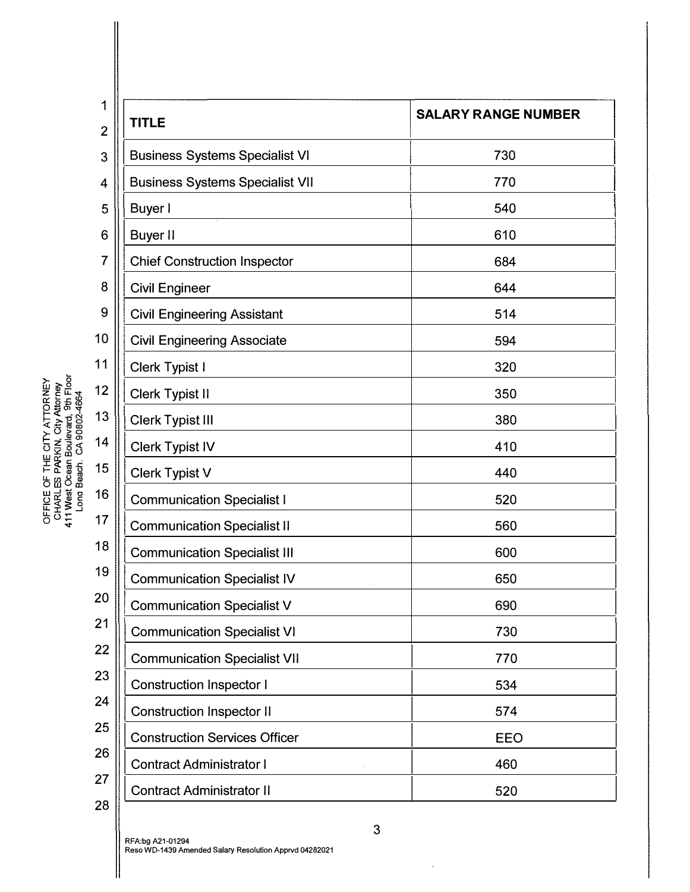| 1              |                                        |                            |
|----------------|----------------------------------------|----------------------------|
| $\overline{2}$ | <b>TITLE</b>                           | <b>SALARY RANGE NUMBER</b> |
| 3              | <b>Business Systems Specialist VI</b>  | 730                        |
| 4              | <b>Business Systems Specialist VII</b> | 770                        |
| 5              | Buyer I                                | 540                        |
| 6              | <b>Buyer II</b>                        | 610                        |
| 7              | <b>Chief Construction Inspector</b>    | 684                        |
| 8              | <b>Civil Engineer</b>                  | 644                        |
| 9              | <b>Civil Engineering Assistant</b>     | 514                        |
| 10             | <b>Civil Engineering Associate</b>     | 594                        |
| 11             | <b>Clerk Typist I</b>                  | 320                        |
| 12             | <b>Clerk Typist II</b>                 | 350                        |
| 13             | <b>Clerk Typist III</b>                | 380                        |
| 14             | <b>Clerk Typist IV</b>                 | 410                        |
| 15             | <b>Clerk Typist V</b>                  | 440                        |
| 16             | <b>Communication Specialist I</b>      | 520                        |
| 17             | <b>Communication Specialist II</b>     | 560                        |
| 18             | <b>Communication Specialist III</b>    | 600                        |
| 19             | <b>Communication Specialist IV</b>     | 650                        |
| 20             | <b>Communication Specialist V</b>      | 690                        |
| 21             | <b>Communication Specialist VI</b>     | 730                        |
| 22             | <b>Communication Specialist VII</b>    | 770                        |
| 23             | <b>Construction Inspector I</b>        | 534                        |
| 24             | <b>Construction Inspector II</b>       | 574                        |
| 25             | <b>Construction Services Officer</b>   | <b>EEO</b>                 |
| 26             | <b>Contract Administrator I</b>        | 460                        |
| 27             | <b>Contract Administrator II</b>       | 520                        |
| 28             |                                        |                            |

 $\hat{\boldsymbol{\theta}}$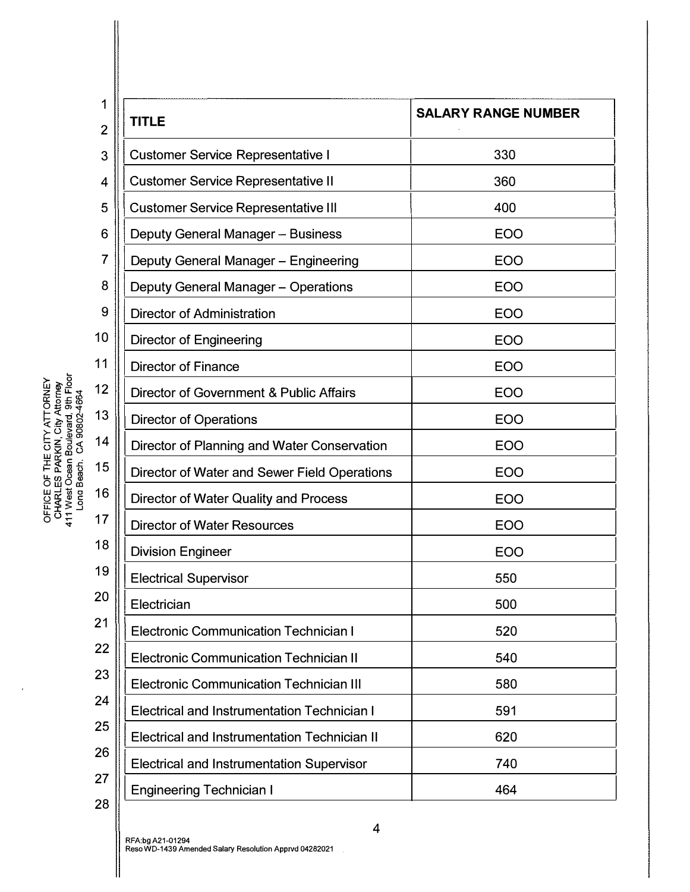| 1<br>$\overline{2}$ | <b>TITLE</b>                                        | <b>SALARY RANGE NUMBER</b> |
|---------------------|-----------------------------------------------------|----------------------------|
| 3                   | <b>Customer Service Representative I</b>            | 330                        |
| 4                   | <b>Customer Service Representative II</b>           | 360                        |
| 5                   | <b>Customer Service Representative III</b>          | 400                        |
| 6                   | Deputy General Manager - Business                   | <b>EOO</b>                 |
| 7                   | Deputy General Manager - Engineering                | <b>EOO</b>                 |
| 8                   | Deputy General Manager - Operations                 | <b>EOO</b>                 |
| 9                   | <b>Director of Administration</b>                   | <b>EOO</b>                 |
| 10                  | <b>Director of Engineering</b>                      | <b>EOO</b>                 |
| 11                  | <b>Director of Finance</b>                          | <b>EOO</b>                 |
| 12                  | Director of Government & Public Affairs             | <b>EOO</b>                 |
| 13                  | <b>Director of Operations</b>                       | <b>EOO</b>                 |
| 14                  | Director of Planning and Water Conservation         | <b>EOO</b>                 |
| 15                  | Director of Water and Sewer Field Operations        | <b>EOO</b>                 |
| 16                  | <b>Director of Water Quality and Process</b>        | <b>EOO</b>                 |
| 17                  | <b>Director of Water Resources</b>                  | <b>EOO</b>                 |
| 18                  | <b>Division Engineer</b>                            | <b>EOO</b>                 |
| 19                  | <b>Electrical Supervisor</b>                        | 550                        |
| 20                  | Electrician                                         | 500                        |
| 21                  | <b>Electronic Communication Technician I</b>        | 520                        |
| 22                  | <b>Electronic Communication Technician II</b>       | 540                        |
| 23                  | <b>Electronic Communication Technician III</b>      | 580                        |
| 24                  | <b>Electrical and Instrumentation Technician I</b>  | 591                        |
| 25                  | <b>Electrical and Instrumentation Technician II</b> | 620                        |
| 26                  | <b>Electrical and Instrumentation Supervisor</b>    | 740                        |
| 27                  | <b>Engineering Technician I</b>                     | 464                        |
| 28                  |                                                     |                            |

 $\ddot{\phantom{1}}$ 

 $\bar{z}$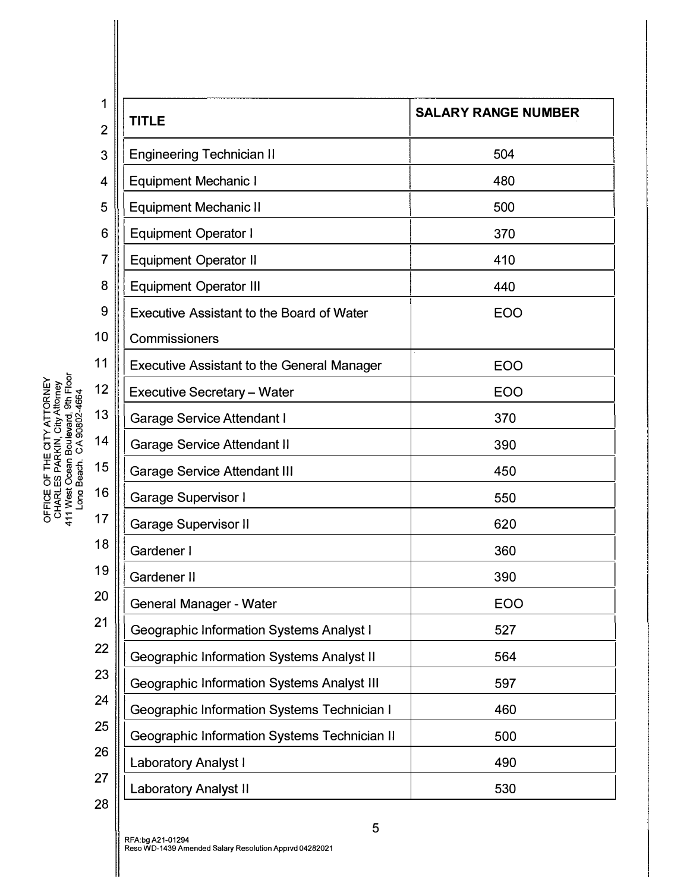| 1<br>$\overline{2}$ | <b>TITLE</b>                                      | <b>SALARY RANGE NUMBER</b> |
|---------------------|---------------------------------------------------|----------------------------|
| 3                   | <b>Engineering Technician II</b>                  | 504                        |
| 4                   | <b>Equipment Mechanic I</b>                       | 480                        |
| 5                   | <b>Equipment Mechanic II</b>                      | 500                        |
| 6                   | <b>Equipment Operator I</b>                       | 370                        |
| 7                   | <b>Equipment Operator II</b>                      | 410                        |
| 8                   | <b>Equipment Operator III</b>                     | 440                        |
| 9                   | <b>Executive Assistant to the Board of Water</b>  | <b>EOO</b>                 |
| 10                  | Commissioners                                     |                            |
| 11                  | <b>Executive Assistant to the General Manager</b> | <b>EOO</b>                 |
| 12                  | <b>Executive Secretary - Water</b>                | EOO                        |
| 13                  | <b>Garage Service Attendant I</b>                 | 370                        |
| 14                  | <b>Garage Service Attendant II</b>                | 390                        |
| 15                  | <b>Garage Service Attendant III</b>               | 450                        |
| 16                  | Garage Supervisor I                               | 550                        |
| 17                  | <b>Garage Supervisor II</b>                       | 620                        |
| 18                  | Gardener I                                        | 360                        |
| 19                  | Gardener II                                       | 390                        |
| 20                  | <b>General Manager - Water</b>                    | EOO                        |
| 21                  | <b>Geographic Information Systems Analyst I</b>   | 527                        |
| 22                  | Geographic Information Systems Analyst II         | 564                        |
| 23                  | <b>Geographic Information Systems Analyst III</b> | 597                        |
| 24                  | Geographic Information Systems Technician I       | 460                        |
| 25                  | Geographic Information Systems Technician II      | 500                        |
| 26                  | <b>Laboratory Analyst I</b>                       | 490                        |
| 27                  | <b>Laboratory Analyst II</b>                      | 530                        |
| 28                  |                                                   |                            |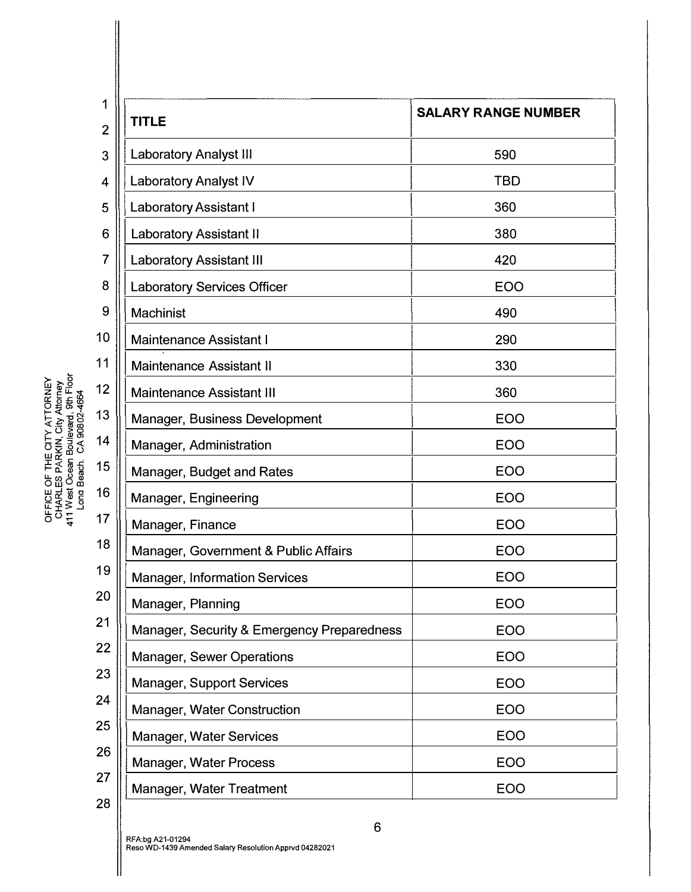| 1<br>$\overline{2}$ | <b>TITLE</b>                               | <b>SALARY RANGE NUMBER</b> |
|---------------------|--------------------------------------------|----------------------------|
| 3                   | <b>Laboratory Analyst III</b>              | 590                        |
| 4                   | <b>Laboratory Analyst IV</b>               | <b>TBD</b>                 |
| 5                   | <b>Laboratory Assistant I</b>              | 360                        |
| 6                   | <b>Laboratory Assistant II</b>             | 380                        |
| 7                   | <b>Laboratory Assistant III</b>            | 420                        |
| 8                   | <b>Laboratory Services Officer</b>         | <b>EOO</b>                 |
| 9                   | Machinist                                  | 490                        |
| 10                  | <b>Maintenance Assistant I</b>             | 290                        |
| 11                  | <b>Maintenance Assistant II</b>            | 330                        |
| 12                  | <b>Maintenance Assistant III</b>           | 360                        |
| 13                  | Manager, Business Development              | <b>EOO</b>                 |
| 14                  | Manager, Administration                    | <b>EOO</b>                 |
| 15                  | Manager, Budget and Rates                  | <b>EOO</b>                 |
| 16                  | Manager, Engineering                       | <b>EOO</b>                 |
| 17                  | Manager, Finance                           | <b>EOO</b>                 |
| 18                  | Manager, Government & Public Affairs       | EOO                        |
| 19                  | <b>Manager, Information Services</b>       | <b>EOO</b>                 |
| 20                  | Manager, Planning                          | <b>EOO</b>                 |
| 21                  | Manager, Security & Emergency Preparedness | EOO                        |
| 22                  | Manager, Sewer Operations                  | EOO                        |
| 23                  | <b>Manager, Support Services</b>           | EOO                        |
| 24                  | Manager, Water Construction                | EOO                        |
| 25                  | <b>Manager, Water Services</b>             | EOO                        |
| 26                  | Manager, Water Process                     | EOO                        |
| 27                  | Manager, Water Treatment                   | EOO                        |
| 28                  |                                            |                            |

∥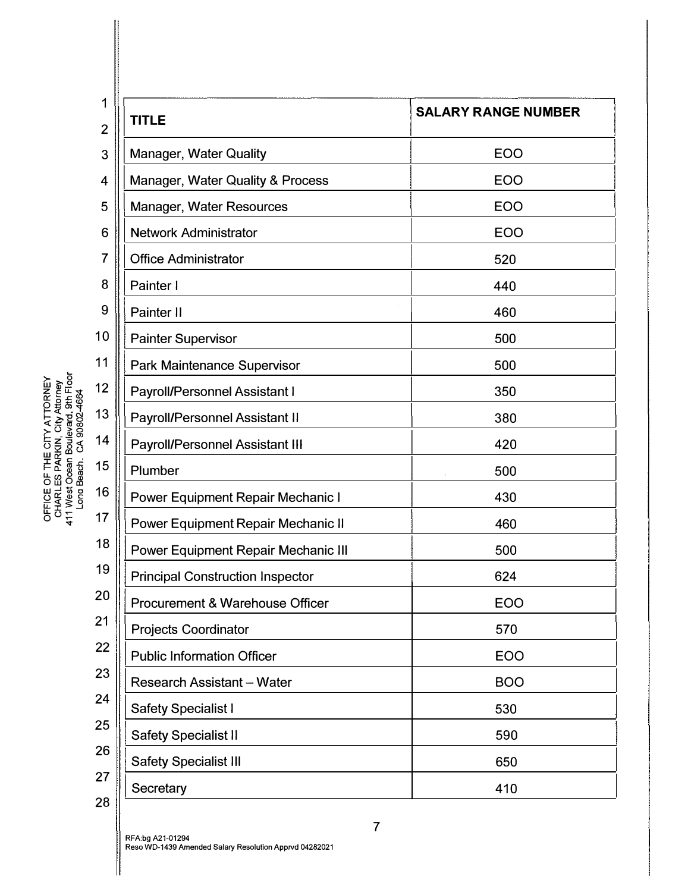| 1<br>$\overline{2}$ | <b>TITLE</b>                             | <b>SALARY RANGE NUMBER</b> |
|---------------------|------------------------------------------|----------------------------|
| 3                   | <b>Manager, Water Quality</b>            | <b>EOO</b>                 |
| 4                   | Manager, Water Quality & Process         | <b>EOO</b>                 |
| 5                   | Manager, Water Resources                 | <b>EOO</b>                 |
| 6                   | <b>Network Administrator</b>             | <b>EOO</b>                 |
| 7                   | <b>Office Administrator</b>              | 520                        |
| 8                   | Painter I                                | 440                        |
| 9                   | Painter II                               | 460                        |
| 10                  | <b>Painter Supervisor</b>                | 500                        |
| 11                  | Park Maintenance Supervisor              | 500                        |
| 12                  | Payroll/Personnel Assistant I            | 350                        |
| 13                  | Payroll/Personnel Assistant II           | 380                        |
| 14                  | Payroll/Personnel Assistant III          | 420                        |
| 15                  | Plumber                                  | 500                        |
| 16                  | <b>Power Equipment Repair Mechanic I</b> | 430                        |
| 17                  | Power Equipment Repair Mechanic II       | 460                        |
| 18                  | Power Equipment Repair Mechanic III      | 500                        |
| 19                  | <b>Principal Construction Inspector</b>  | 624                        |
| 20                  | Procurement & Warehouse Officer          | EOO                        |
| 21                  | <b>Projects Coordinator</b>              | 570                        |
| 22                  | <b>Public Information Officer</b>        | <b>EOO</b>                 |
| 23                  | Research Assistant - Water               | <b>BOO</b>                 |
| 24                  | <b>Safety Specialist I</b>               | 530                        |
| 25                  | <b>Safety Specialist II</b>              | 590                        |
| 26                  | <b>Safety Specialist III</b>             | 650                        |
| 27                  | Secretary                                | 410                        |
| 28                  |                                          |                            |

 $\blacksquare$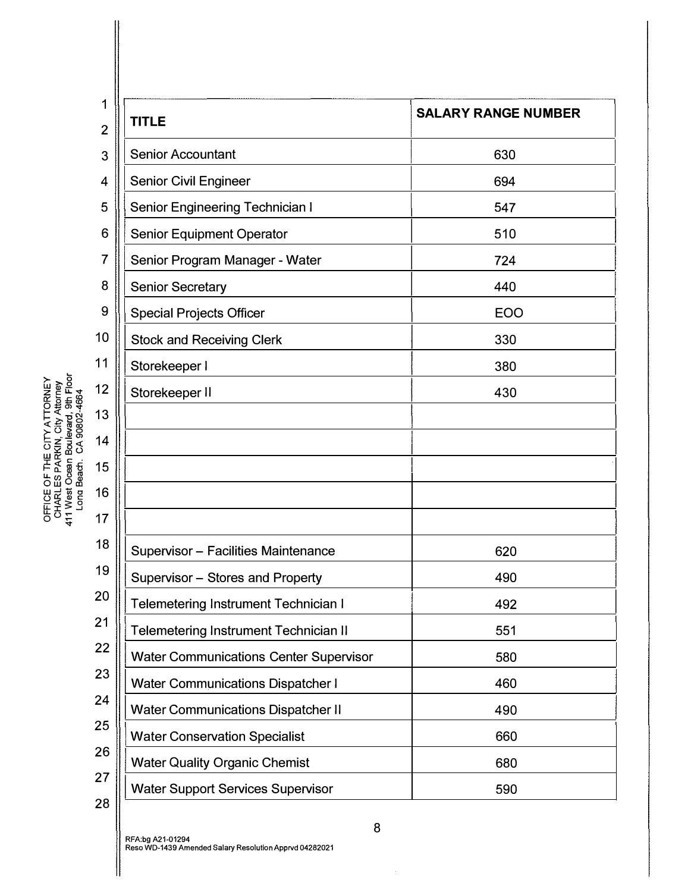| 1              |                                               | <b>SALARY RANGE NUMBER</b> |
|----------------|-----------------------------------------------|----------------------------|
| $\overline{2}$ | <b>TITLE</b>                                  |                            |
| 3              | <b>Senior Accountant</b>                      | 630                        |
| 4              | <b>Senior Civil Engineer</b>                  | 694                        |
| 5              | <b>Senior Engineering Technician I</b>        | 547                        |
| 6              | <b>Senior Equipment Operator</b>              | 510                        |
| 7              | Senior Program Manager - Water                | 724                        |
| 8              | <b>Senior Secretary</b>                       | 440                        |
| 9              | <b>Special Projects Officer</b>               | <b>EOO</b>                 |
| 10             | <b>Stock and Receiving Clerk</b>              | 330                        |
| 11             | Storekeeper I                                 | 380                        |
| 12             | Storekeeper II                                | 430                        |
| 13             |                                               |                            |
| 14             |                                               |                            |
| 15             |                                               |                            |
| 16             |                                               |                            |
| 17             |                                               |                            |
| 18             | <b>Supervisor - Facilities Maintenance</b>    | 620                        |
| 19             | Supervisor - Stores and Property              | 490                        |
| 20             | Telemetering Instrument Technician I          | 492                        |
| 21             | <b>Telemetering Instrument Technician II</b>  | 551                        |
| 22             | <b>Water Communications Center Supervisor</b> | 580                        |
| 23             | <b>Water Communications Dispatcher I</b>      | 460                        |
| 24             | <b>Water Communications Dispatcher II</b>     | 490                        |
| 25             | <b>Water Conservation Specialist</b>          | 660                        |
| 26             | <b>Water Quality Organic Chemist</b>          | 680                        |
| 27             | <b>Water Support Services Supervisor</b>      | 590                        |
| 28             |                                               |                            |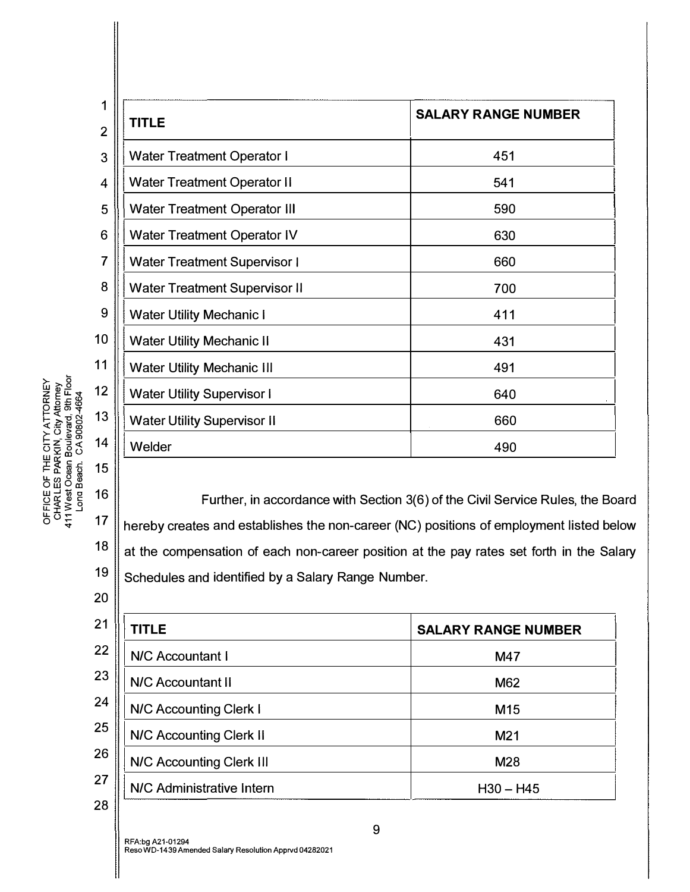| 1                       |                                      |                            |
|-------------------------|--------------------------------------|----------------------------|
| $\overline{2}$          | <b>TITLE</b>                         | <b>SALARY RANGE NUMBER</b> |
| 3                       | <b>Water Treatment Operator I</b>    | 451                        |
| 4                       | <b>Water Treatment Operator II</b>   | 541                        |
| 5                       | <b>Water Treatment Operator III</b>  | 590                        |
| 6                       | <b>Water Treatment Operator IV</b>   | 630                        |
| $\overline{\mathbf{7}}$ | <b>Water Treatment Supervisor I</b>  | 660                        |
| 8                       | <b>Water Treatment Supervisor II</b> | 700                        |
| 9                       | <b>Water Utility Mechanic I</b>      | 411                        |
| 0                       | <b>Water Utility Mechanic II</b>     | 431                        |
| $\mathbf{1}$            | <b>Water Utility Mechanic III</b>    | 491                        |
| $\overline{2}$          | <b>Water Utility Supervisor I</b>    | 640                        |
| 3                       | <b>Water Utility Supervisor II</b>   | 660                        |
| $\overline{\mathbf{4}}$ | Welder                               | 490                        |

Further, in accordance with Section 3(6) of the Civil Service Rules, the Board hereby creates and establishes the non-career (NC) positions of employment listed below at the compensation of each non-career position at the pay rates set forth in the Salary Schedules and identified by a Salary Range Number.

| <b>TITLE</b>              | <b>SALARY RANGE NUMBER</b> |
|---------------------------|----------------------------|
| N/C Accountant I          | M47                        |
| <b>N/C Accountant II</b>  | M62                        |
| N/C Accounting Clerk I    | M <sub>15</sub>            |
| N/C Accounting Clerk II   | M <sub>21</sub>            |
| N/C Accounting Clerk III  | M28                        |
| N/C Administrative Intern | $H30 - H45$                |
|                           |                            |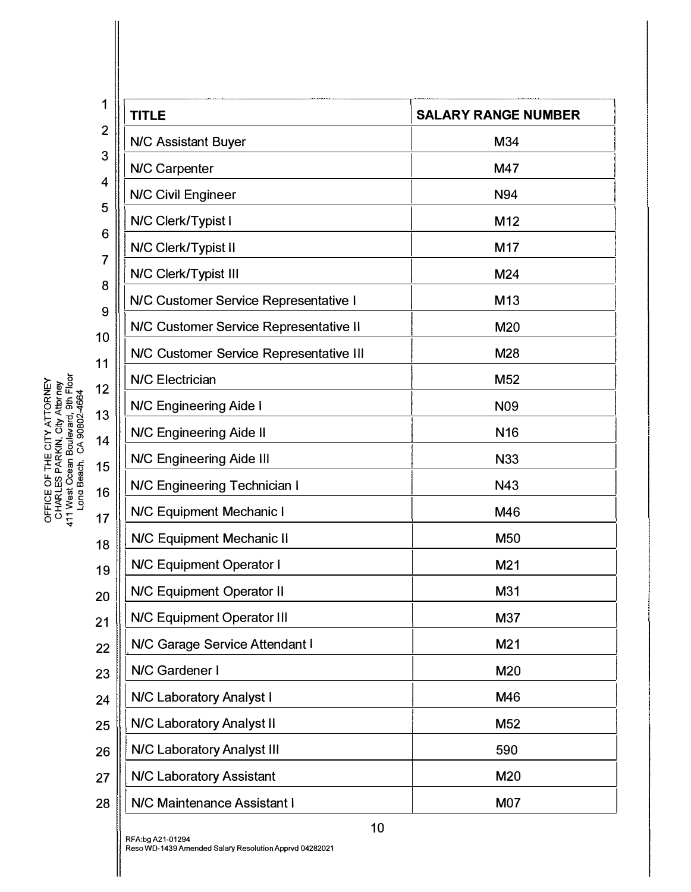| 1              | <b>TITLE</b>                            | <b>SALARY RANGE NUMBER</b> |
|----------------|-----------------------------------------|----------------------------|
| $\overline{2}$ | <b>N/C Assistant Buyer</b>              | M34                        |
| 3              | N/C Carpenter                           | M47                        |
| 4              | N/C Civil Engineer                      | N94                        |
| 5              | N/C Clerk/Typist I                      | M12                        |
| 6<br>7         | N/C Clerk/Typist II                     | M17                        |
| 8              | N/C Clerk/Typist III                    | M24                        |
| 9              | N/C Customer Service Representative I   | M13                        |
| 10             | N/C Customer Service Representative II  | M20                        |
| 11             | N/C Customer Service Representative III | M28                        |
| 12             | <b>N/C Electrician</b>                  | M <sub>52</sub>            |
| 13             | N/C Engineering Aide I                  | <b>N09</b>                 |
| 14             | N/C Engineering Aide II                 | N <sub>16</sub>            |
| 15             | <b>N/C Engineering Aide III</b>         | <b>N33</b>                 |
| 16             | N/C Engineering Technician I            | N43                        |
| 17             | <b>N/C Equipment Mechanic I</b>         | M46                        |
| 18             | N/C Equipment Mechanic II               | M50                        |
| 19             | <b>N/C Equipment Operator I</b>         | M21                        |
| 20             | N/C Equipment Operator II               | M31                        |
| 21             | N/C Equipment Operator III              | M37                        |
| 22             | N/C Garage Service Attendant I          | M21                        |
| 23             | N/C Gardener I                          | M20                        |
| 24             | N/C Laboratory Analyst I                | M46                        |
| 25             | N/C Laboratory Analyst II               | M52                        |
| 26             | N/C Laboratory Analyst III              | 590                        |
| 27             | <b>N/C Laboratory Assistant</b>         | M20                        |
| 28             | <b>N/C Maintenance Assistant I</b>      | M07                        |
|                |                                         |                            |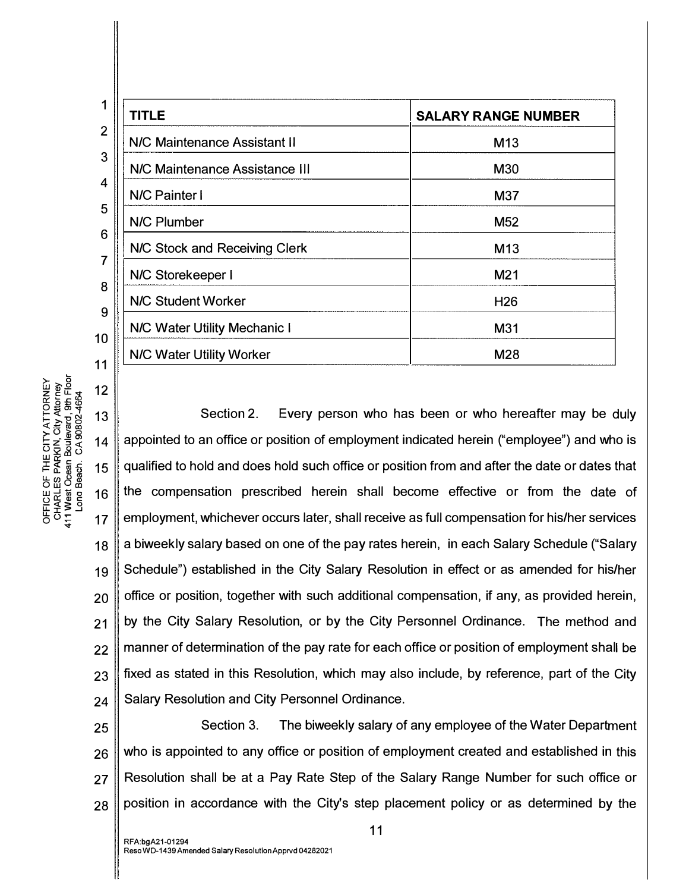| <b>TITLE</b>                        | <b>SALARY RANGE NUMBER</b> |
|-------------------------------------|----------------------------|
| N/C Maintenance Assistant II        | M <sub>13</sub>            |
| N/C Maintenance Assistance III      | M30                        |
| <b>N/C Painter I</b>                | M37                        |
| N/C Plumber                         | M <sub>52</sub>            |
| N/C Stock and Receiving Clerk       | M <sub>13</sub>            |
| N/C Storekeeper I                   | M21                        |
| <b>N/C Student Worker</b>           | H <sub>26</sub>            |
| <b>N/C Water Utility Mechanic I</b> | M31                        |
| N/C Water Utility Worker            | M28                        |

NEY<br>
FOR THE FLOOR<br> *X* AUS TO 12<br> *X* AUS TO 13 <l::!::::roco i'.:o >o -� Ol -0 z ::l <( 14 52 0 0 w "'  $H_{\alpha}$  Est  $\frac{1}{8}$   $\frac{1}{8}$  15 L<br>LR 6<br>LR 0 0  $\frac{1}{2}$ <br>  $\frac{1}{2}$ <br>  $\frac{1}{2}$ <br>  $\frac{1}{2}$ <br>  $\frac{1}{2}$ <br>  $\frac{1}{2}$ <br>  $\frac{1}{2}$ <br>  $\frac{1}{2}$ <br>  $\frac{1}{2}$ <br>  $\frac{1}{2}$ <br>  $\frac{1}{2}$ 

ㅎㅎ<sub>妄</sub> ... 17 18 19 20 21 22 23 24 Section 2. Every person who has been or who hereafter may be duly appointed to an office or position of employment indicated herein ("employee") and who is qualified to hold and does hold such office or position from and after the date or dates that the compensation prescribed herein shall become effective or from the date of employment, whichever occurs later, shall receive as full compensation for his/her services a biweekly salary based on one of the pay rates herein, in each Salary Schedule ("Salary Schedule") established in the City Salary Resolution in effect or as amended for his/her office or position, together with such additional compensation, if any, as provided herein, by the City Salary Resolution, or by the City Personnel Ordinance. The method and manner of determination of the pay rate for each office or position of employment shal I be fixed as stated in this Resolution, which may also include, by reference, part of the City Salary Resolution and City Personnel Ordinance.

25 26 27 28 Section 3. The biweekly salary of any employee of the Water Department who is appointed to any office or position of employment created and established in this Resolution shall be at a Pay Rate Step of the Salary Range Number for such office or position in accordance with the City's step placement policy or as determined by the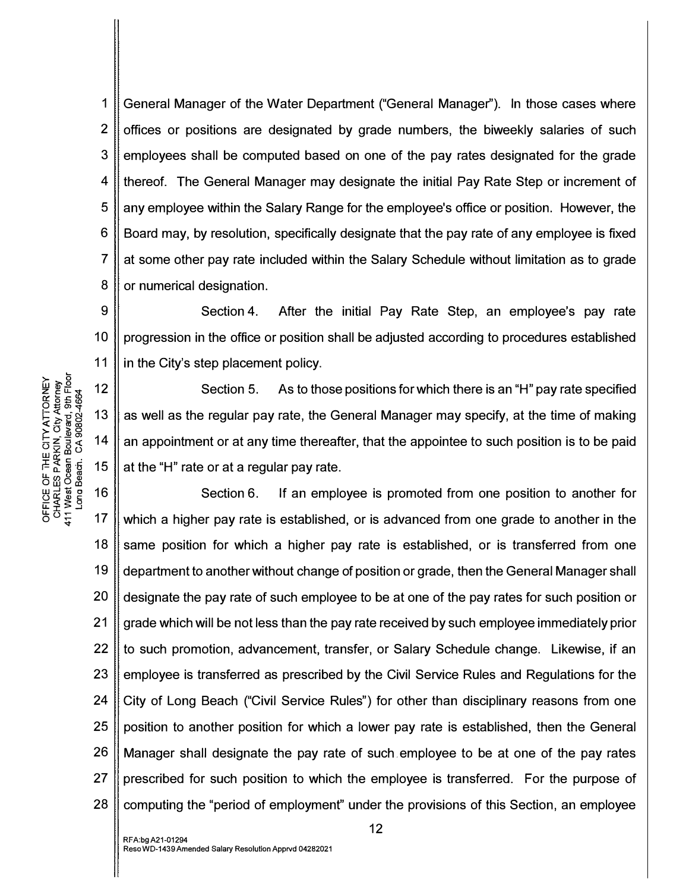1 2 3 4 5 6 7 8 General Manager of the Water Department ("General Manager"). In those cases where offices or positions are designated by grade numbers, the biweekly salaries of such employees shall be computed based on one of the pay rates designated for the grade thereof. The General Manager may designate the initial Pay Rate Step or increment of any employee within the Salary Range for the employee's office or position. However, the Board may, by resolution, specifically designate that the pay rate of any employee is fixed at some other pay rate included within the Salary Schedule without limitation as to grade or numerical designation.

9 10 11 Section 4. After the initial Pay Rate Step, an employee's pay rate progression in the office or position shall be adjusted according to procedures established in the City's step placement policy.

Section 5. As to those positions for which there is an "H" pay rate specified as well as the regular pay rate, the General Manager may specify, at the time of making an appointment or at any time thereafter, that the appointee to such position is to be paid at the "H" rate or at a regular pay rate.

18 19 20 21 22 23 24 25 26 27 28 Section 6. If an employee is promoted from one position to another for which a higher pay rate is established, or is advanced from one grade to another in the same position for which a higher pay rate is established, or is transferred from one department to another without change of position or grade, then the General Manager shall designate the pay rate of such employee to be at one of the pay rates for such position or grade which will be not less than the pay rate received by such employee immediately prior to such promotion, advancement, transfer, or Salary Schedule change. Likewise, if an employee is transferred as prescribed by the Civil Service Rules and Regulations for the City of Long Beach ("Civil Service Rules") for other than disciplinary reasons from one position to another position for which a lower pay rate is established, then the General Manager shall designate the pay rate of such . employee to be at one of the pay rates prescribed for such position to which the employee is transferred. For the purpose of computing the "period of employment" under the provisions of this Section, an employee

**NEY<br>REP = 00**<br>CES = 00<br>C:: 50<br>C: 50  $E$   $\overline{X}$   $\overline{X}$   $\overline{Y}$   $\overline{Y}$   $\overline{Y}$   $\overline{Y}$   $\overline{Y}$   $\overline{Y}$   $\overline{Y}$   $\overline{Y}$   $\overline{Y}$   $\overline{Y}$   $\overline{Y}$   $\overline{Y}$   $\overline{Y}$   $\overline{Y}$   $\overline{Y}$   $\overline{Y}$   $\overline{Y}$   $\overline{Y}$   $\overline{Y}$   $\overline{Y}$   $\overline{Y}$   $\overline{Y}$   $\frac{1}{2}$   $\frac{1}{2}$   $\frac{1}{2}$   $\frac{1}{2}$   $\frac{1}{2}$   $\frac{1}{2}$   $\frac{1}{2}$   $\frac{1}{2}$   $\frac{1}{2}$   $\frac{1}{2}$   $\frac{1}{2}$   $\frac{1}{2}$   $\frac{1}{2}$   $\frac{1}{2}$   $\frac{1}{2}$   $\frac{1}{2}$   $\frac{1}{2}$   $\frac{1}{2}$   $\frac{1}{2}$   $\frac{1}{2}$   $\frac{1}{2}$   $\frac{1}{2}$   $\overline{\mathbb{F}}$   $\overline{\mathbb{E}}$   $\overline{\mathbb{E}}$   $\overline{\mathbb{E}}$   $\overline{\mathbb{E}}$   $\overline{\mathbb{E}}$   $\overline{\mathbb{E}}$   $\overline{\mathbb{E}}$   $\overline{\mathbb{E}}$   $\overline{\mathbb{E}}$   $\overline{\mathbb{E}}$   $\overline{\mathbb{E}}$   $\overline{\mathbb{E}}$   $\overline{\mathbb{E}}$   $\overline{\mathbb{E}}$   $\overline{\mathbb{E}}$   $\overline{\mathbb{E}}$   $\overline{\mathbb{E}}$   $\overline{\$ u. � � m Ow 0 co w o ....J O:::(;)o a>c: 16 도로 <u>~</u><br>0 0 두 17<br>0 0 두 17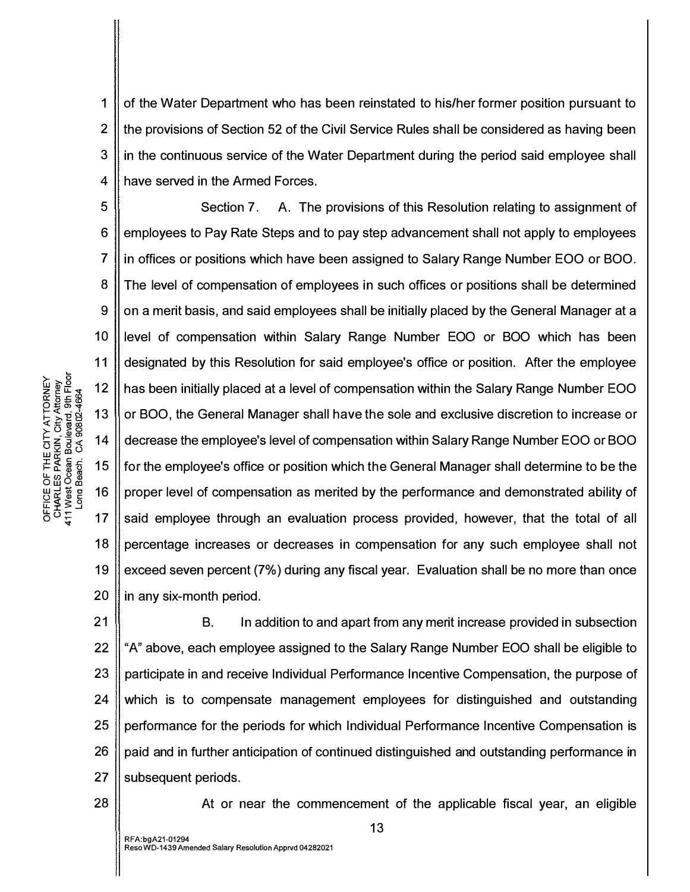1 2 3 4 of the Water Department who has been reinstated to his/her former position pursuant to the provisions of Section 52 of the Civil Service Rules shall be considered as having been in the continuous service of the Water Department during the period said employee shall have served in the Armed Forces.

5 6 7 8 9 10 11 12 13 14 15 16 17 18 19 20 Section 7. A. The provisions of this Resolution relating to assignment of employees to Pay Rate Steps and to pay step advancement shall not apply to employees in offices or positions which have been assigned to Salary Range Number EOO or BOO. The level of compensation of employees in such offices or positions shall be determined on a merit basis, and said employees shall be initially placed by the General Manager at a level of compensation within Salary Range Number EOO or BOO which has been designated by this Resolution for said employee's office or position. After the employee has been initially placed at a level of compensation within the Salary Range Number EOO or BOO, the General Manager shall have the sole and exclusive discretion to increase or decrease the employee's level of compensation within Salary Range Number EOO or BOO for the employee's office or position which the General Manager shall determine to be the proper level of compensation as merited by the performance and demonstrated ability of said employee through an evaluation process provided, however, that the total of all percentage increases or decreases in compensation for any such employee shall not exceed seven percent (7%) during any fiscal year. Evaluation shall be no more than once in any six-month period.

21 22 23 24 25 26 27 B. In addition to and apart from any merit increase provided in subsection "A" above, each employee assigned to the Salary Range Number EOO shall be eligible to participate in and receive Individual Performance Incentive Compensation, the purpose of which is to compensate management employees for distinguished and outstanding performance for the periods for which Individual Performance Incentive Compensation is paid and in further anticipation of continued distinguished and outstanding performance in subsequent periods.

28

`ATTORNEY<br>City Attorney<br>ard, 9th Floor<br>9802-4664

HE CITY /<br>ARKIN, Ci<br>an Bouleve<br>n. CA 908

E OF TI<br>ILES PA<br>st Oceach<br>g Beach

 $E \times 3$  $\rho_{\Omega} \hat{z}$ 

At or near the commencement of the applicable fiscal year, an eligible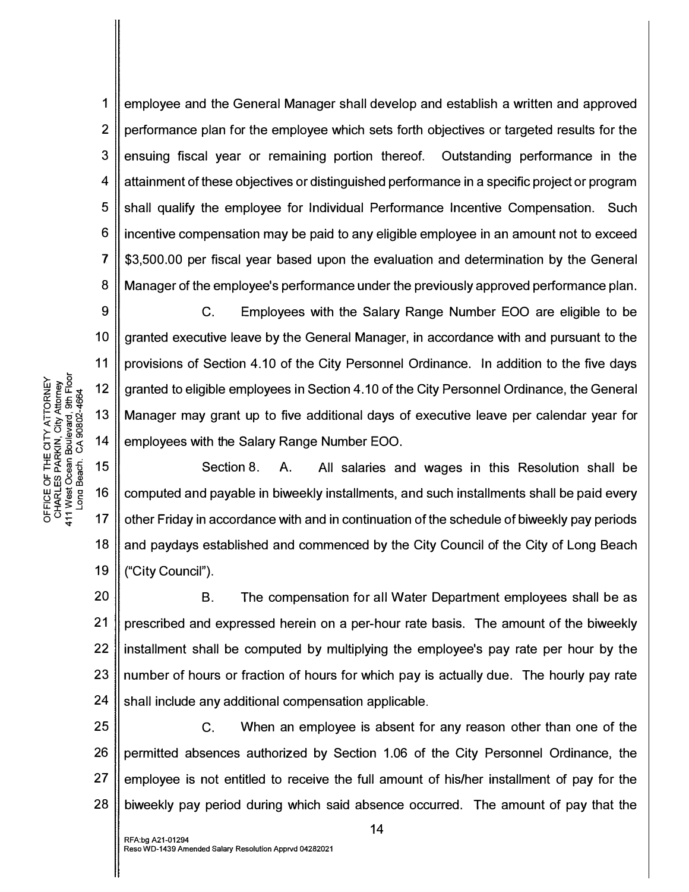1 2 3 4 5 6 7 8 employee and the General Manager shall develop and establish a written and approved performance plan for the employee which sets forth objectives or targeted results for the ensuing fiscal year or remaining portion thereof. Outstanding performance in the attainment of these objectives or distinguished performance in a specific project or program shall qualify the employee for Individual Performance Incentive Compensation. Such incentive compensation may be paid to any eligible employee in an amount not to exceed \$3,500.00 per fiscal year based upon the evaluation and determination by the General Manager of the employee's performance under the previously approved performance plan.

9 10 12 14 C. Employees with the Salary Range Number EOO are eligible to be granted executive leave by the General Manager, in accordance with and pursuant to the provisions of Section 4.10 of the City Personnel Ordinance. In addition to the five days granted to eligible employees in Section 4.10 of the City Personnel Ordinance, the General Manager may grant up to five additional days of executive leave per calendar year for employees with the Salary Range Number EOO.

15 16 17 18 19 Section 8. A. All salaries and wages in this Resolution shall be computed and payable in biweekly installments, and such installments shall be paid every other Friday in accordance with and in continuation of the schedule of biweekly pay periods and paydays established and commenced by the City Council of the City of Long Beach ("City Council").

20 21 22 23 24 B. The compensation for all Water Department employees shall be as prescribed and expressed herein on a per-hour rate basis. The amount of the biweekly installment shall be computed by multiplying the employee's pay rate per hour by the number of hours or fraction of hours for which pay is actually due. The hourly pay rate shall include any additional compensation applicable.

25 26 27 C. When an employee is absent for any reason other than one of the permitted absences authorized by Section 1.06 of the City Personnel Ordinance, the employee is not entitled to receive the full amount of his/her installment of pay for the biweekly pay period during which said absence occurred. The amount of pay that the

ATTORNEY<br>;ity Attorney<br>ard, 9th Floor<br>802-4664

11

13

< <u>5</u><br>≻ 5 <u>®</u><br>⊢ – ≞ 6 ≣ <u>ਲੱ</u>ਲ ਕੁ<br>ਸ਼ੁਲਾ<br>ਛੋਲ ਭੂਪ

OFFICE OF TH<br>CHARLES PAF<br>411 West Ocean<br>Long Beach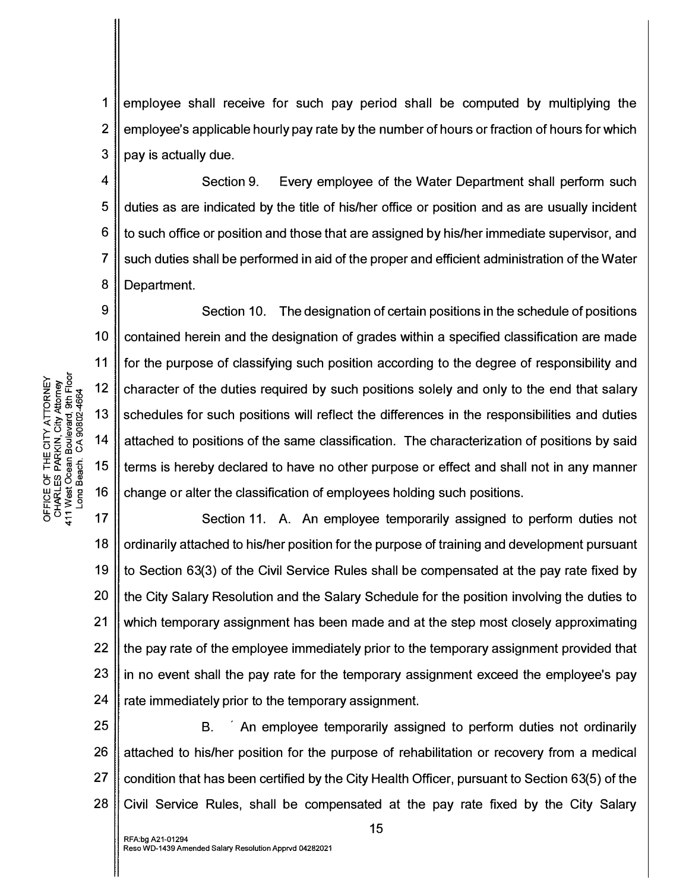1 2 3 employee shall receive for such pay period shall be computed by multiplying the employee's applicable hourly pay rate by the number of hours or fraction of hours for which pay is actually due.

4 5 6 7 8 Section 9. Every employee of the Water Department shall perform such duties as are indicated by the title of his/her office or position and as are usually incident to such office or position and those that are assigned by his/her immediate supervisor, and such duties shall be performed in aid of the proper and efficient administration of the Water Department.

9 10 11 Section 10. The designation of certain positions in the schedule of positions contained herein and the designation of grades within a specified classification are made for the purpose of classifying such position according to the degree of responsibility and character of the duties required by such positions solely and only to the end that salary schedules for such positions will reflect the differences in the responsibilities and duties attached to positions of the same classification. The characterization of positions by said terms is hereby declared to have no other purpose or effect and shall not in any manner change or alter the classification of employees holding such positions.

18 19 20 21 22 23 24 Section 11. A. An employee temporarily assigned to perform duties not ordinarily attached to his/her position for the purpose of training and development pursuant to Section 63(3) of the Civil Service Rules shall be compensated at the pay rate fixed by the City Salary Resolution and the Salary Schedule for the position involving the duties to which temporary assignment has been made and at the step most closely approximating the pay rate of the employee immediately prior to the temporary assignment provided that in no event shall the pay rate for the temporary assignment exceed the employee's pay rate immediately prior to the temporary assignment.

25 26 27 28 B. An employee temporarily assigned to perform duties not ordinarily attached to his/her position for the purpose of rehabilitation or recovery from a medical condition that has been certified by the City Health Officer, pursuant to Section 63(5) of the Civil Service Rules, shall be compensated at the pay rate fixed by the City Salary

NEVER<br> *Attorney*<br> *City Attorney*<br> *City Attorney*<br> *Some 13*<br> *Some 13*  $\Sigma = \frac{3}{2} \times \frac{3}{2}$  $\frac{2}{3}$   $\frac{3}{3}$   $\frac{3}{3}$   $\frac{3}{3}$   $\frac{3}{4}$   $\frac{3}{4}$   $\frac{3}{4}$   $\frac{3}{4}$   $\frac{3}{4}$   $\frac{3}{4}$   $\frac{3}{4}$   $\frac{3}{4}$   $\frac{3}{4}$   $\frac{3}{4}$   $\frac{3}{4}$   $\frac{3}{4}$   $\frac{3}{4}$   $\frac{3}{4}$   $\frac{3}{4}$   $\frac{3}{4}$   $\frac{3}{4}$   $\frac{3}{4}$  **⊨& <sub>ថី 5</sub> 15**<br>២៣១២<br>២៣ w-'1il c 16 oO:::<Dc:  $\Xi\bar{\Xi}\gtrapprox 2$  $\overline{6}$   $\overline{4}$   $\overline{4}$  17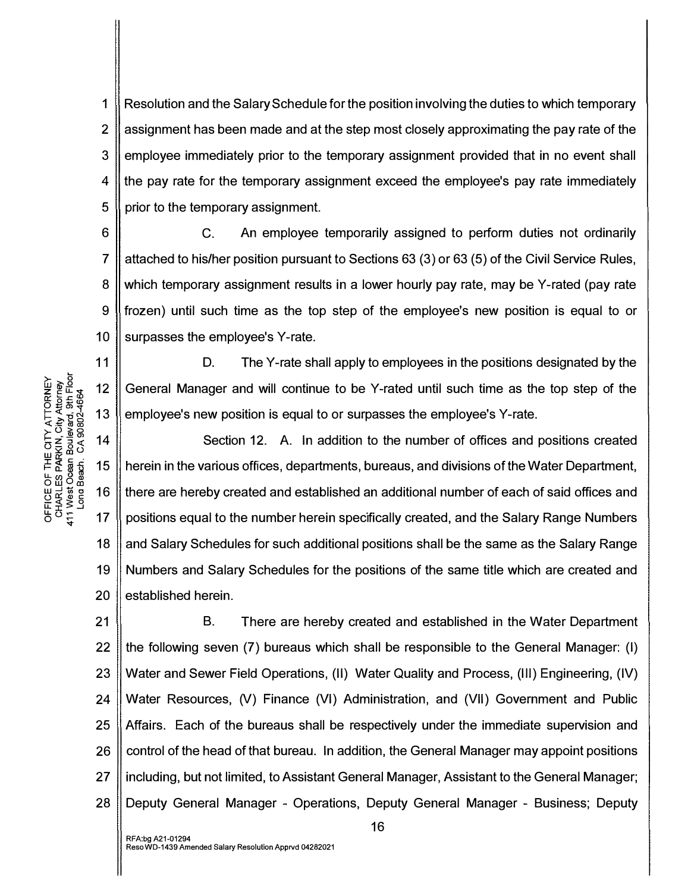1 2 3 4 5 Resolution and the Salary Schedule for the position involving the duties to which temporary assignment has been made and at the step most closely approximating the pay rate of the employee immediately prior to the temporary assignment provided that in no event shall the pay rate for the temporary assignment exceed the employee's pay rate immediately prior to the temporary assignment.

6 7 8 9 10 C. An employee temporarily assigned to perform duties not ordinarily attached to his/her position pursuant to Sections 63 (3) or 63 (5) of the Civil Service Rules, which temporary assignment results in a lower hourly pay rate, may be Y-rated (pay rate frozen) until such time as the top step of the employee's new position is equal to or surpasses the employee's Y-rate.

D. The Y-rate shall apply to employees in the positions designated by the General Manager and will continue to be Y-rated until such time as the top step of the employee's new position is equal to or surpasses the employee's Y-rate.

18 19 20 Section 12. A. In addition to the number of offices and positions created herein in the various offices, departments, bureaus, and divisions of the Water Department, there are hereby created and established an additional number of each of said offices and positions equal to the number herein specifically created, and the Salary Range Numbers and Salary Schedules for such additional positions shall be the same as the Salary Range Numbers and Salary Schedules for the positions of the same title which are created and established herein.

21 22 23 24 25 26 27 28 B. There are hereby created and established in the Water Department the following seven (7) bureaus which shall be responsible to the General Manager: (I) Water and Sewer Field Operations, (II) Water Quality and Process, (Ill) Engineering, (IV) Water Resources, (V) Finance (VI) Administration, and (VII) Government and Public Affairs. Each of the bureaus shall be respectively under the immediate supervision and control of the head of that bureau. In addition, the General Manager may appoint positions including, but not limited, to Assistant General Manager, Assistant to the General Manager; Deputy General Manager - Operations, Deputy General Manager - Business; Deputy

 $\overset{\sim}{\Xi}$   $\overset{\sim}{\Xi}$  $\overset{\sim}{\Xi}$   $\overset{\sim}{\Xi}$   $\overset{\sim}{\Xi}$  12  $0.5288$ p = 0 न<br>E = 0 13 AT<br>- City<br>- City<br>- 10002<br>- PC  $\frac{2}{10}$   $\frac{2}{10}$   $\frac{3}{10}$   $\frac{3}{10}$   $\frac{3}{10}$   $\frac{3}{10}$   $\frac{3}{10}$   $\frac{3}{10}$   $\frac{3}{10}$   $\frac{3}{10}$   $\frac{3}{10}$   $\frac{3}{10}$   $\frac{3}{10}$   $\frac{3}{10}$   $\frac{3}{10}$   $\frac{3}{10}$   $\frac{3}{10}$   $\frac{3}{10}$   $\frac{3}{10}$   $\frac{3}{10}$  I O:: c: · I- ii: ttl -5 15 u..oo8m o w <sup>O</sup> ca UUUU 16<br>UHRU 3 0<br>UHRU 3 0<br>C<br>C 4 17

11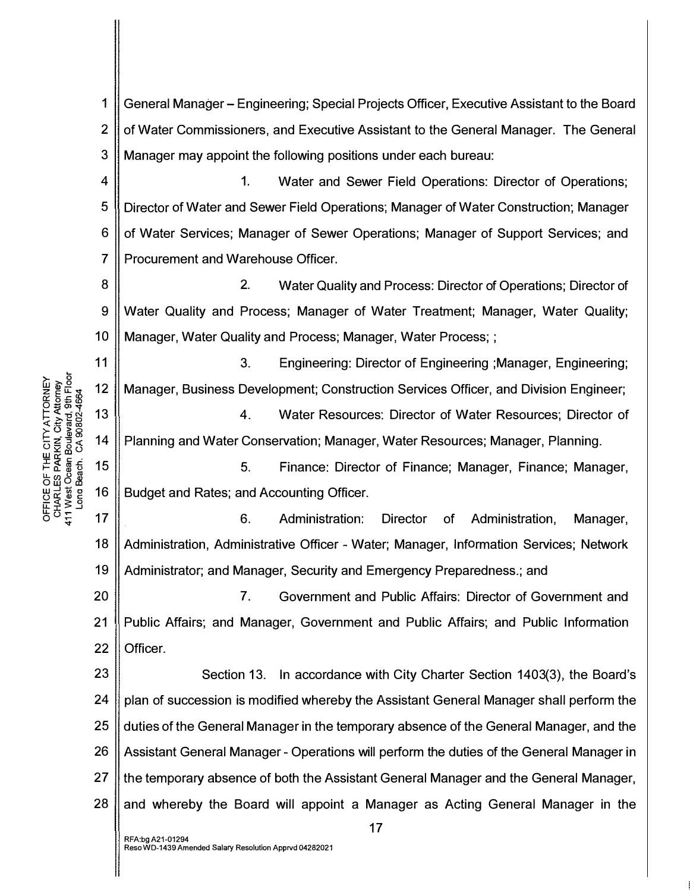$\mathbf 1$ General Manager – Engineering: Special Projects Officer, Executive Assistant to the Board  $\overline{2}$ of Water Commissioners, and Executive Assistant to the General Manager. The General 3 Manager may appoint the following positions under each bureau:

 $\overline{\mathbf{4}}$  $\mathbf{1}$ . Water and Sewer Field Operations: Director of Operations; 5 Director of Water and Sewer Field Operations; Manager of Water Construction; Manager 6 of Water Services; Manager of Sewer Operations; Manager of Support Services; and  $\overline{7}$ Procurement and Warehouse Officer.

8  $\overline{2}$ Water Quality and Process: Director of Operations; Director of 9 Water Quality and Process; Manager of Water Treatment; Manager, Water Quality; Manager, Water Quality and Process; Manager, Water Process; ;  $10$ 

 $11$  $3<sub>1</sub>$ Engineering: Director of Engineering ; Manager, Engineering;  $12$ Manager, Business Development; Construction Services Officer, and Division Engineer;

13  $4.$ Water Resources: Director of Water Resources; Director of Planning and Water Conservation; Manager, Water Resources; Manager, Planning. 14

15  $5<sub>1</sub>$ Finance: Director of Finance; Manager, Finance; Manager, 16 Budget and Rates; and Accounting Officer.

 $17$  $6.$ Administration: **Director** Administration. of Manager. 18 Administration, Administrative Officer - Water; Manager, Information Services; Network 19 Administrator; and Manager, Security and Emergency Preparedness.; and

20  $7<sub>1</sub>$ Government and Public Affairs: Director of Government and  $21$ Public Affairs; and Manager, Government and Public Affairs; and Public Information 22 Officer.

23 Section 13. In accordance with City Charter Section 1403(3), the Board's 24 plan of succession is modified whereby the Assistant General Manager shall perform the 25 duties of the General Manager in the temporary absence of the General Manager, and the 26 Assistant General Manager - Operations will perform the duties of the General Manager in 27 the temporary absence of both the Assistant General Manager and the General Manager, 28 and whereby the Board will appoint a Manager as Acting General Manager in the

 $17$ 

OFFICE OF THE CITY ATTORNEY<br>CHARLES PARKIN, City Attorney<br>411 West Ocean Boulevard, 9th Floor<br>Long Beach. CA 90802-4664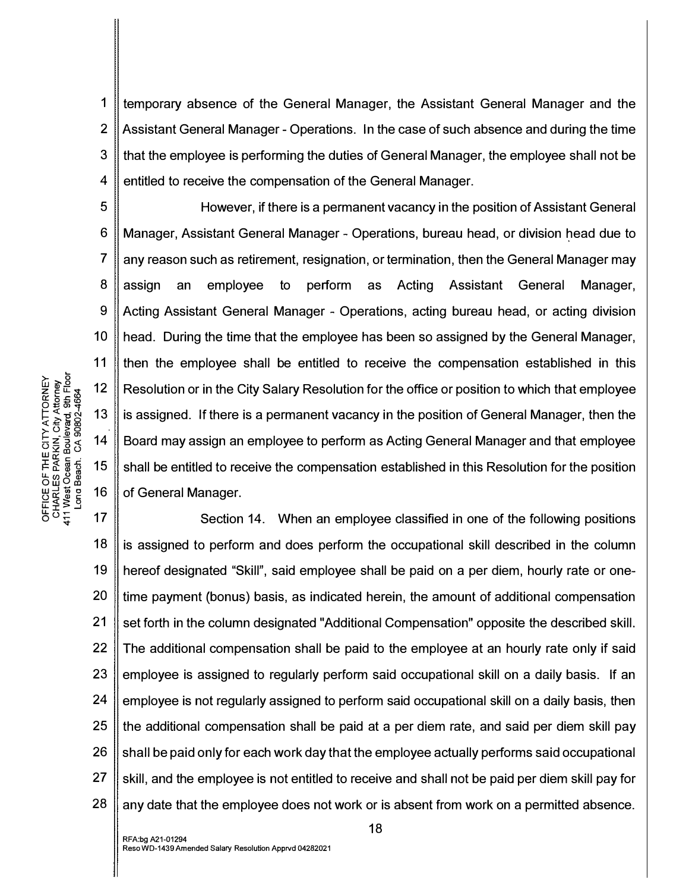1 2 3 4 temporary absence of the General Manager, the Assistant General Manager and the Assistant General Manager - Operations. In the case of such absence and during the time that the employee is performing the duties of General Manager, the employee shall not be entitled to receive the compensation of the General Manager.

However, if there is a permanent vacancy in the position of Assistant General Manager, Assistant General Manager - Operations, bureau head, or division head due to any reason such as retirement, resignation, or termination, then the General Manager may assign an employee to perform as Acting Assistant General Manager, Acting Assistant General Manager - Operations, acting bureau head, or acting division head. During the time that the employee has been so assigned by the General Manager, then the employee shall be entitled to receive the compensation established in this Resolution or in the City Salary Resolution for the office or position to which that employee is assigned. If there is a permanent vacancy in the position of General Manager, then the Board may assign an employee to perform as Acting General Manager and that employee shall be entitled to receive the compensation established in this Resolution for the position of General Manager.

17 18 19 20 21 22 23 24 25 26 27 28 Section 14. When an employee classified in one of the following positions is assigned to perform and does perform the occupational skill described in the column hereof designated "Skill", said employee shall be paid on a per diem, hourly rate or onetime payment (bonus) basis, as indicated herein, the amount of additional compensation set forth in the column designated "Additional Compensation" opposite the described skill. The additional compensation shall be paid to the employee at an hourly rate only if said employee is assigned to regularly perform said occupational skill on a daily basis. If an employee is not regularly assigned to perform said occupational skill on a daily basis, then the additional compensation shall be paid at a per diem rate, and said per diem skill pay shall be paid only for each work day that the employee actually performs said occupational skill, and the employee is not entitled to receive and shall not be paid per diem skill pay for any date that the employee does not work or is absent from work on a permitted absence.

5

6

7

8

9

10

11

12

13

14

15

16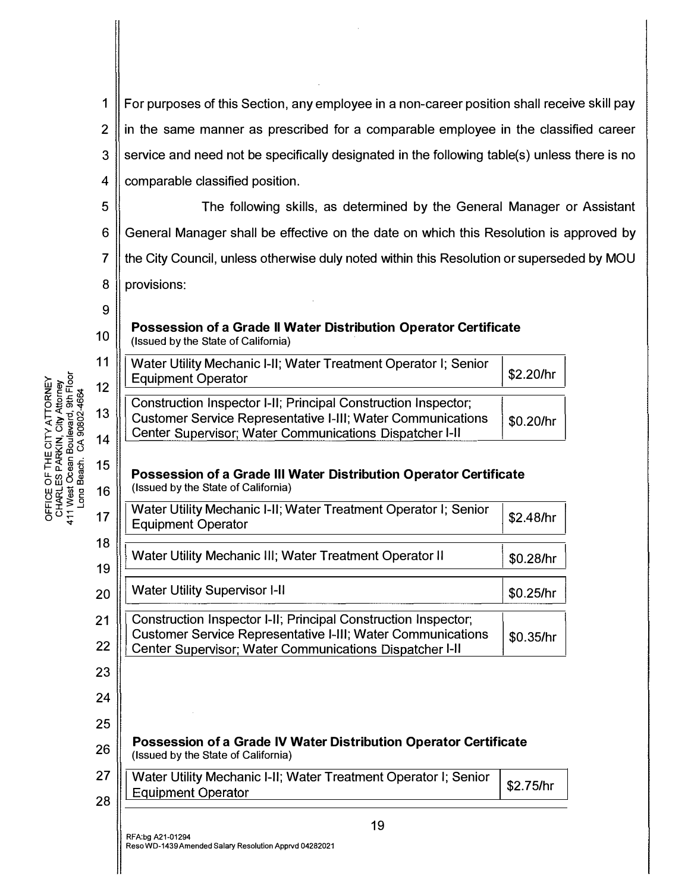1 2 3 4 For purposes of this Section, any employee in a non-career position shall receive skill pay in the same manner as prescribed for a comparable employee in the classified career service and need not be specifically designated in the following table(s) unless there is no comparable classified position.

5 6 7 8 The following skills, as determined by the General Manager or Assistant General Manager shall be effective on the date on which this Resolution is approved by the City Council, unless otherwise duly noted within this Resolution or superseded by MOU provisions:

## Possession of a Grade II Water Distribution Operator Certificate (Issued by the State of California)

| Water Utility Mechanic I-II; Water Treatment Operator I; Senior<br>   Equipment Operator                                                                                                      | \$2.20/hr |
|-----------------------------------------------------------------------------------------------------------------------------------------------------------------------------------------------|-----------|
| Construction Inspector I-II; Principal Construction Inspector;<br>   Customer Service Representative I-III; Water Communications<br>  Center Supervisor; Water Communications Dispatcher I-II | \$0,20/hr |

## Possession of a Grade Ill Water Distribution Operator Certificate (Issued by the State of California)

| 17     | Water Utility Mechanic I-II; Water Treatment Operator I; Senior<br><b>Equipment Operator</b>                                  | \$2.48/hr |
|--------|-------------------------------------------------------------------------------------------------------------------------------|-----------|
| 18     |                                                                                                                               |           |
| 19     | Water Utility Mechanic III; Water Treatment Operator II                                                                       | \$0.28/hr |
| 20     | <b>Water Utility Supervisor I-II</b>                                                                                          | \$0.25/hr |
| 21     | Construction Inspector I-II; Principal Construction Inspector;                                                                |           |
| 22     | <b>Customer Service Representative I-III; Water Communications</b><br>Center Supervisor; Water Communications Dispatcher I-II | \$0.35/hr |
| 23     |                                                                                                                               |           |
| 24     |                                                                                                                               |           |
| 25     |                                                                                                                               |           |
| $\sim$ | Possession of a Grade IV Water Distribution Operator Certificate                                                              |           |

(Issued by the Slate of California)

27 28 Water Utility Mechanic I-II; Water Treatment Operator I; Senior Equipment Operator \$2.75/hr

19

9

10

11

12

13

14

15

 $16|$ 

26

 $\rho$   $\approx$   $\pm$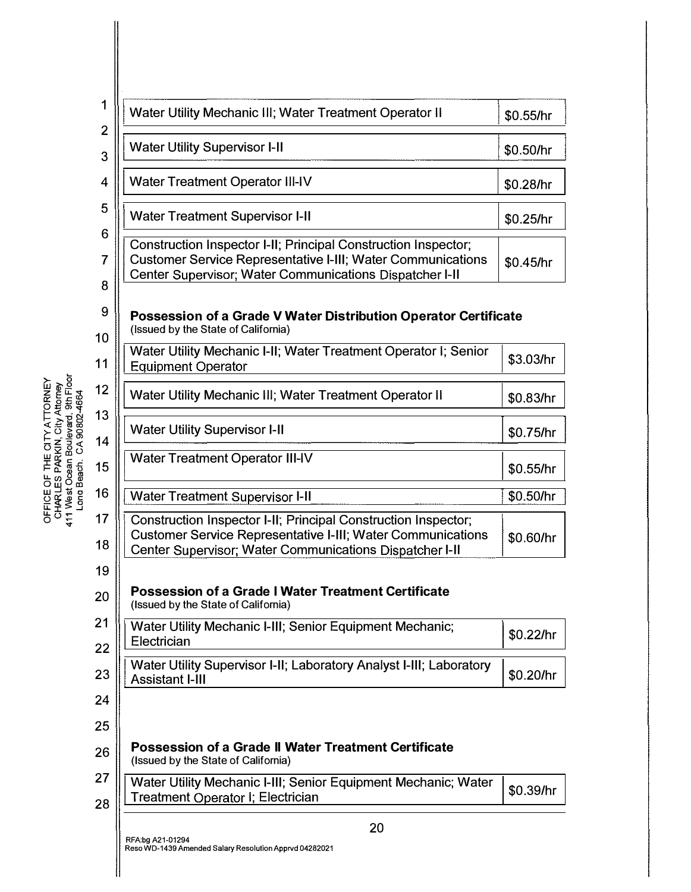| 1                   | Water Utility Mechanic III; Water Treatment Operator II                                                                                                                                         | \$0.55/hr |
|---------------------|-------------------------------------------------------------------------------------------------------------------------------------------------------------------------------------------------|-----------|
| $\overline{2}$<br>3 | <b>Water Utility Supervisor I-II</b>                                                                                                                                                            | \$0.50/hr |
| 4                   | <b>Water Treatment Operator III-IV</b>                                                                                                                                                          | \$0.28/hr |
| 5                   | <b>Water Treatment Supervisor I-II</b>                                                                                                                                                          | \$0.25/hr |
| 6<br>7<br>8         | Construction Inspector I-II; Principal Construction Inspector;<br><b>Customer Service Representative I-III; Water Communications</b><br>Center Supervisor; Water Communications Dispatcher I-II | \$0.45/hr |
| 9<br>10             | Possession of a Grade V Water Distribution Operator Certificate<br>(Issued by the State of California)                                                                                          |           |
| 11                  | Water Utility Mechanic I-II; Water Treatment Operator I; Senior<br><b>Equipment Operator</b>                                                                                                    | \$3.03/hr |
| 12                  | Water Utility Mechanic III; Water Treatment Operator II                                                                                                                                         | \$0.83/hr |
| 13<br>14            | <b>Water Utility Supervisor I-II</b>                                                                                                                                                            | \$0.75/hr |
| 15                  | <b>Water Treatment Operator III-IV</b>                                                                                                                                                          | \$0.55/hr |
| 16                  | <b>Water Treatment Supervisor I-II</b>                                                                                                                                                          | \$0.50/hr |
| 17<br>18            | Construction Inspector I-II; Principal Construction Inspector;<br><b>Customer Service Representative I-III; Water Communications</b><br>Center Supervisor; Water Communications Dispatcher I-II | \$0.60/hr |
| 19<br>20            | <b>Possession of a Grade I Water Treatment Certificate</b><br>(Issued by the State of California)                                                                                               |           |
| 21<br>22            | Water Utility Mechanic I-III; Senior Equipment Mechanic;<br>Electrician                                                                                                                         | \$0.22/hr |
| 23                  | Water Utility Supervisor I-II; Laboratory Analyst I-III; Laboratory<br><b>Assistant I-III</b>                                                                                                   | \$0.20/hr |
| 24                  |                                                                                                                                                                                                 |           |
| 25                  |                                                                                                                                                                                                 |           |
| 26                  | <b>Possession of a Grade II Water Treatment Certificate</b><br>(Issued by the State of California)                                                                                              |           |
| 27<br>28            | Water Utility Mechanic I-III; Senior Equipment Mechanic; Water<br><b>Treatment Operator I; Electrician</b>                                                                                      | \$0.39/hr |
|                     | 20                                                                                                                                                                                              |           |
|                     | RFA:bg A21-01294<br>Reso WD-1439 Amended Salary Resolution Apprvd 04282021                                                                                                                      |           |

 $\vert$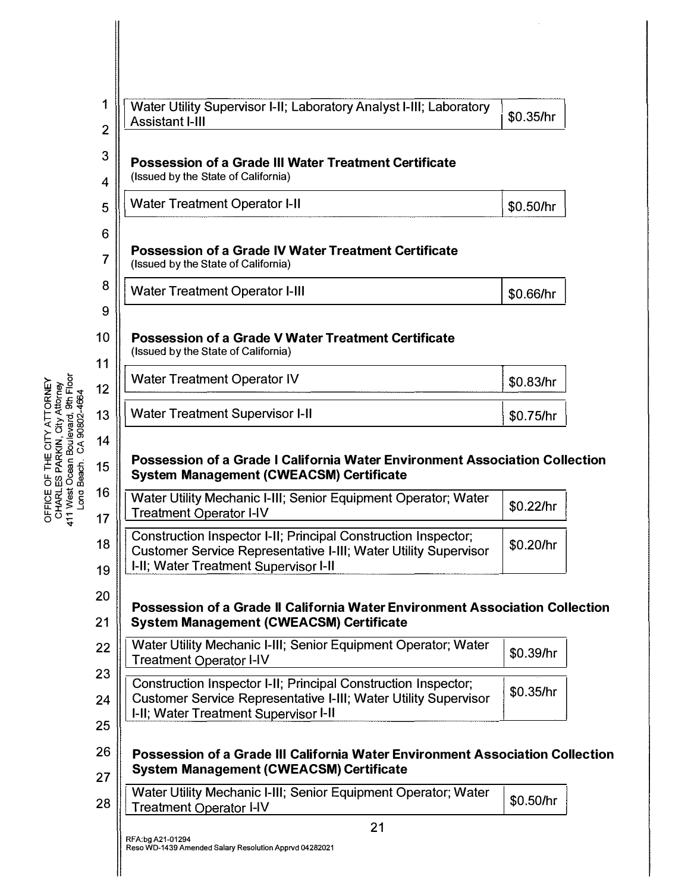| Water Utility Supervisor I-II; Laboratory Analyst I-III; Laboratory<br><b>Assistant I-III</b>                                                                                     | \$0.35/hr |
|-----------------------------------------------------------------------------------------------------------------------------------------------------------------------------------|-----------|
| <b>Possession of a Grade III Water Treatment Certificate</b><br>(Issued by the State of California)                                                                               |           |
| <b>Water Treatment Operator I-II</b>                                                                                                                                              | \$0.50/hr |
|                                                                                                                                                                                   |           |
| <b>Possession of a Grade IV Water Treatment Certificate</b><br>(Issued by the State of California)                                                                                |           |
| <b>Water Treatment Operator I-III</b>                                                                                                                                             | \$0.66/hr |
|                                                                                                                                                                                   |           |
| <b>Possession of a Grade V Water Treatment Certificate</b><br>(Issued by the State of California)                                                                                 |           |
| <b>Water Treatment Operator IV</b>                                                                                                                                                | \$0.83/hr |
| <b>Water Treatment Supervisor I-II</b>                                                                                                                                            | \$0.75/hr |
|                                                                                                                                                                                   |           |
| Possession of a Grade I California Water Environment Association Collection<br><b>System Management (CWEACSM) Certificate</b>                                                     |           |
| Water Utility Mechanic I-III; Senior Equipment Operator; Water<br><b>Treatment Operator I-IV</b>                                                                                  | \$0.22/hr |
| Construction Inspector I-II; Principal Construction Inspector;<br><b>Customer Service Representative I-III; Water Utility Supervisor</b><br>I-II; Water Treatment Supervisor I-II | \$0.20/hr |
| Possession of a Grade II California Water Environment Association Collection<br><b>System Management (CWEACSM) Certificate</b>                                                    |           |
| Water Utility Mechanic I-III; Senior Equipment Operator; Water<br><b>Treatment Operator I-IV</b>                                                                                  | \$0.39/hr |
| Construction Inspector I-II; Principal Construction Inspector;<br>Customer Service Representative I-III; Water Utility Supervisor<br>I-II; Water Treatment Supervisor I-II        | \$0.35/hr |
|                                                                                                                                                                                   |           |
| Possession of a Grade III California Water Environment Association Collection<br><b>System Management (CWEACSM) Certificate</b>                                                   |           |
| Water Utility Mechanic I-III; Senior Equipment Operator; Water<br>Treatment Operator I-IV                                                                                         | \$0.50/hr |

 $\hat{\boldsymbol{\theta}}$ 

o<br>CH<br>20 <del>1</del><br>EE 3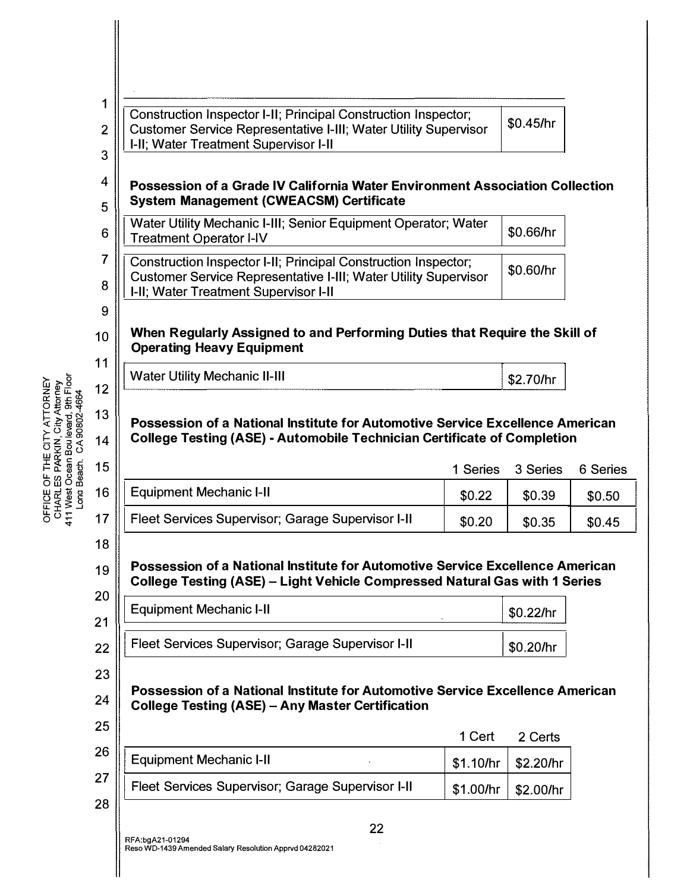| OFFICE OF THE CITY ATTORNEY<br>CHARLES PARKIN, City Attorney<br>411 West Ocean Boulevard, 9th Floor<br>CA90802-4664<br>Long Beach. | 1<br>$\overline{2}$<br>3<br>4<br>5<br>6<br>7<br>8<br>9<br>10<br>11<br>12<br>13<br>14<br>15<br>16 | Construction Inspector I-II; Principal Construction Inspector;<br>Customer Service Representative I-III; Water Utility Supervisor<br>I-II; Water Treatment Supervisor I-II<br>Possession of a Grade IV California Water Environment Association Collection<br><b>System Management (CWEACSM) Certificate</b><br>Water Utility Mechanic I-III; Senior Equipment Operator; Water<br><b>Treatment Operator I-IV</b><br>Construction Inspector I-II; Principal Construction Inspector;<br><b>Customer Service Representative I-III; Water Utility Supervisor</b><br>I-II; Water Treatment Supervisor I-II<br>When Regularly Assigned to and Performing Duties that Require the Skill of<br><b>Operating Heavy Equipment</b><br><b>Water Utility Mechanic II-III</b><br>Possession of a National Institute for Automotive Service Excellence American<br><b>College Testing (ASE) - Automobile Technician Certificate of Completion</b> | 1 Series  | \$0.45/hr<br>\$0.66/hr<br>\$0.60/hr<br>\$2.70/hr<br>3 Series | 6 Series |
|------------------------------------------------------------------------------------------------------------------------------------|--------------------------------------------------------------------------------------------------|------------------------------------------------------------------------------------------------------------------------------------------------------------------------------------------------------------------------------------------------------------------------------------------------------------------------------------------------------------------------------------------------------------------------------------------------------------------------------------------------------------------------------------------------------------------------------------------------------------------------------------------------------------------------------------------------------------------------------------------------------------------------------------------------------------------------------------------------------------------------------------------------------------------------------------|-----------|--------------------------------------------------------------|----------|
|                                                                                                                                    |                                                                                                  |                                                                                                                                                                                                                                                                                                                                                                                                                                                                                                                                                                                                                                                                                                                                                                                                                                                                                                                                    |           |                                                              |          |
|                                                                                                                                    |                                                                                                  |                                                                                                                                                                                                                                                                                                                                                                                                                                                                                                                                                                                                                                                                                                                                                                                                                                                                                                                                    |           |                                                              |          |
|                                                                                                                                    |                                                                                                  |                                                                                                                                                                                                                                                                                                                                                                                                                                                                                                                                                                                                                                                                                                                                                                                                                                                                                                                                    |           |                                                              |          |
|                                                                                                                                    |                                                                                                  |                                                                                                                                                                                                                                                                                                                                                                                                                                                                                                                                                                                                                                                                                                                                                                                                                                                                                                                                    |           |                                                              |          |
|                                                                                                                                    |                                                                                                  |                                                                                                                                                                                                                                                                                                                                                                                                                                                                                                                                                                                                                                                                                                                                                                                                                                                                                                                                    |           |                                                              |          |
|                                                                                                                                    |                                                                                                  |                                                                                                                                                                                                                                                                                                                                                                                                                                                                                                                                                                                                                                                                                                                                                                                                                                                                                                                                    |           |                                                              |          |
|                                                                                                                                    |                                                                                                  |                                                                                                                                                                                                                                                                                                                                                                                                                                                                                                                                                                                                                                                                                                                                                                                                                                                                                                                                    |           |                                                              |          |
|                                                                                                                                    |                                                                                                  |                                                                                                                                                                                                                                                                                                                                                                                                                                                                                                                                                                                                                                                                                                                                                                                                                                                                                                                                    |           |                                                              |          |
|                                                                                                                                    |                                                                                                  | <b>Equipment Mechanic I-II</b>                                                                                                                                                                                                                                                                                                                                                                                                                                                                                                                                                                                                                                                                                                                                                                                                                                                                                                     | \$0.22    | \$0.39                                                       | \$0.50   |
|                                                                                                                                    | 17                                                                                               | Fleet Services Supervisor; Garage Supervisor I-II                                                                                                                                                                                                                                                                                                                                                                                                                                                                                                                                                                                                                                                                                                                                                                                                                                                                                  | \$0.20    | \$0.35                                                       | \$0.45   |
|                                                                                                                                    | 18                                                                                               |                                                                                                                                                                                                                                                                                                                                                                                                                                                                                                                                                                                                                                                                                                                                                                                                                                                                                                                                    |           |                                                              |          |
|                                                                                                                                    | 19                                                                                               | Possession of a National Institute for Automotive Service Excellence American                                                                                                                                                                                                                                                                                                                                                                                                                                                                                                                                                                                                                                                                                                                                                                                                                                                      |           |                                                              |          |
|                                                                                                                                    | 20                                                                                               | College Testing (ASE) - Light Vehicle Compressed Natural Gas with 1 Series                                                                                                                                                                                                                                                                                                                                                                                                                                                                                                                                                                                                                                                                                                                                                                                                                                                         |           |                                                              |          |
|                                                                                                                                    | 21                                                                                               | <b>Equipment Mechanic I-II</b>                                                                                                                                                                                                                                                                                                                                                                                                                                                                                                                                                                                                                                                                                                                                                                                                                                                                                                     |           | \$0.22/hr                                                    |          |
|                                                                                                                                    | 22                                                                                               | Fleet Services Supervisor; Garage Supervisor I-II                                                                                                                                                                                                                                                                                                                                                                                                                                                                                                                                                                                                                                                                                                                                                                                                                                                                                  |           | \$0.20/hr                                                    |          |
|                                                                                                                                    | 23                                                                                               |                                                                                                                                                                                                                                                                                                                                                                                                                                                                                                                                                                                                                                                                                                                                                                                                                                                                                                                                    |           |                                                              |          |
|                                                                                                                                    | 24                                                                                               | Possession of a National Institute for Automotive Service Excellence American<br><b>College Testing (ASE) - Any Master Certification</b>                                                                                                                                                                                                                                                                                                                                                                                                                                                                                                                                                                                                                                                                                                                                                                                           |           |                                                              |          |
|                                                                                                                                    | 25                                                                                               |                                                                                                                                                                                                                                                                                                                                                                                                                                                                                                                                                                                                                                                                                                                                                                                                                                                                                                                                    |           |                                                              |          |
|                                                                                                                                    | 26                                                                                               | <b>Equipment Mechanic I-II</b>                                                                                                                                                                                                                                                                                                                                                                                                                                                                                                                                                                                                                                                                                                                                                                                                                                                                                                     | 1 Cert    | 2 Certs                                                      |          |
|                                                                                                                                    | 27                                                                                               |                                                                                                                                                                                                                                                                                                                                                                                                                                                                                                                                                                                                                                                                                                                                                                                                                                                                                                                                    | \$1.10/hr | \$2.20/hr                                                    |          |
|                                                                                                                                    | 28                                                                                               | Fleet Services Supervisor; Garage Supervisor I-II                                                                                                                                                                                                                                                                                                                                                                                                                                                                                                                                                                                                                                                                                                                                                                                                                                                                                  | \$1.00/hr | \$2.00/hr                                                    |          |

I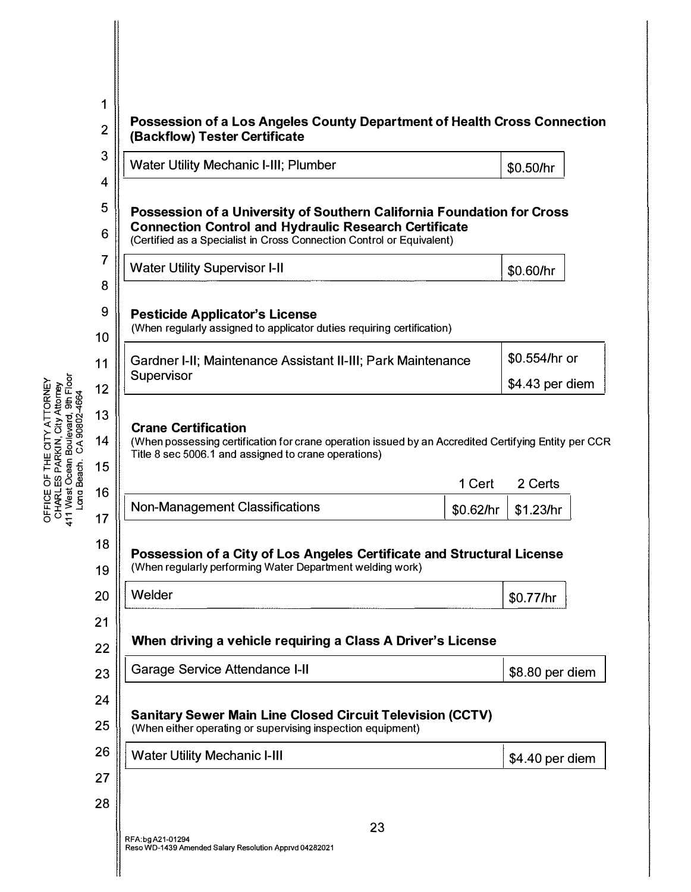| 1<br>$\overline{2}$                          | <b>Possession of a Los Angeles County Department of Health Cross Connection</b>                                                                                                                                 |           |                  |  |
|----------------------------------------------|-----------------------------------------------------------------------------------------------------------------------------------------------------------------------------------------------------------------|-----------|------------------|--|
| 3                                            | (Backflow) Tester Certificate                                                                                                                                                                                   |           |                  |  |
| 4                                            | <b>Water Utility Mechanic I-III; Plumber</b>                                                                                                                                                                    |           | \$0.50/hr        |  |
| 5<br>6                                       | Possession of a University of Southern California Foundation for Cross<br><b>Connection Control and Hydraulic Research Certificate</b><br>(Certified as a Specialist in Cross Connection Control or Equivalent) |           |                  |  |
| 7                                            | <b>Water Utility Supervisor I-II</b>                                                                                                                                                                            |           | \$0.60/hr        |  |
| 8<br>9<br>10                                 | <b>Pesticide Applicator's License</b><br>(When regularly assigned to applicator duties requiring certification)                                                                                                 |           |                  |  |
| 11                                           | Gardner I-II; Maintenance Assistant II-III; Park Maintenance<br>Supervisor                                                                                                                                      |           | \$0.554/hr or    |  |
| 12                                           |                                                                                                                                                                                                                 |           | $$4.43$ per diem |  |
|                                              |                                                                                                                                                                                                                 |           |                  |  |
|                                              | <b>Crane Certification</b><br>(When possessing certification for crane operation issued by an Accredited Certifying Entity per CCR<br>Title 8 sec 5006.1 and assigned to crane operations)                      | 1 Cert    | 2 Certs          |  |
| 13<br>14<br>15<br>16                         | <b>Non-Management Classifications</b>                                                                                                                                                                           | \$0.62/hr | \$1.23/hr        |  |
|                                              | Possession of a City of Los Angeles Certificate and Structural License<br>(When regularly performing Water Department welding work)                                                                             |           |                  |  |
|                                              | Welder                                                                                                                                                                                                          |           | \$0.77/hr        |  |
|                                              | When driving a vehicle requiring a Class A Driver's License                                                                                                                                                     |           |                  |  |
|                                              | <b>Garage Service Attendance I-II</b>                                                                                                                                                                           |           | \$8.80 per diem  |  |
| 17<br>18<br>19<br>20<br>21<br>22<br>23<br>24 |                                                                                                                                                                                                                 |           |                  |  |
| 25                                           | <b>Sanitary Sewer Main Line Closed Circuit Television (CCTV)</b><br>(When either operating or supervising inspection equipment)                                                                                 |           |                  |  |
| 26                                           | <b>Water Utility Mechanic I-III</b>                                                                                                                                                                             |           | \$4.40 per diem  |  |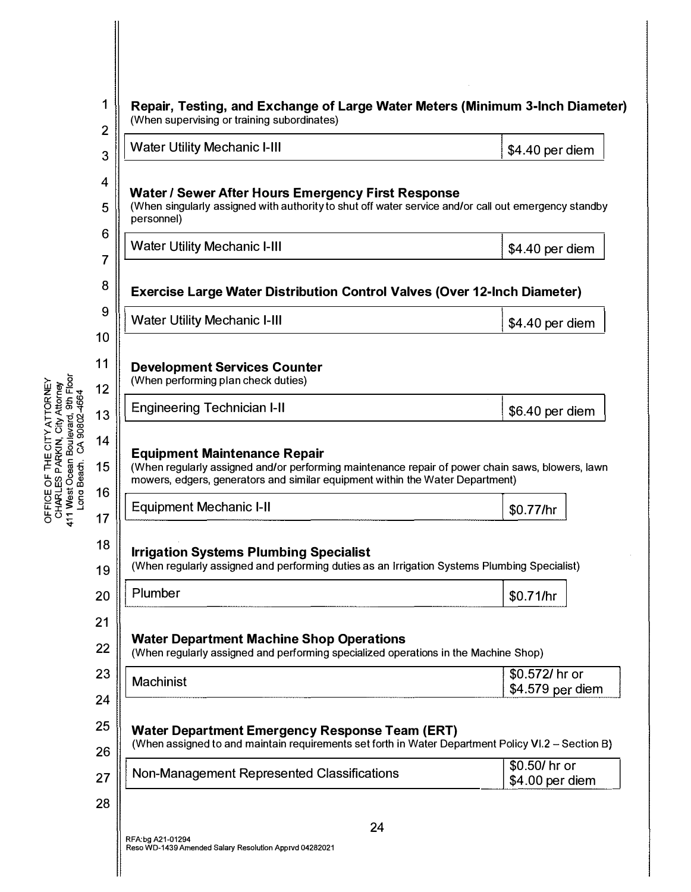| 3                                                                                                       | <b>Water Utility Mechanic I-III</b>                                                                                                                                                                                      | \$4.40 per diem  |
|---------------------------------------------------------------------------------------------------------|--------------------------------------------------------------------------------------------------------------------------------------------------------------------------------------------------------------------------|------------------|
| 4<br>5<br>6                                                                                             | Water / Sewer After Hours Emergency First Response<br>(When singularly assigned with authority to shut off water service and/or call out emergency standby<br>personnel)                                                 |                  |
| 7                                                                                                       | <b>Water Utility Mechanic I-III</b>                                                                                                                                                                                      | \$4.40 per diem  |
| 8                                                                                                       | <b>Exercise Large Water Distribution Control Valves (Over 12-Inch Diameter)</b>                                                                                                                                          |                  |
| 9                                                                                                       | <b>Water Utility Mechanic I-III</b>                                                                                                                                                                                      | \$4.40 per diem  |
| 10<br>11                                                                                                | <b>Development Services Counter</b><br>(When performing plan check duties)                                                                                                                                               |                  |
| 12<br>13                                                                                                | <b>Engineering Technician I-II</b>                                                                                                                                                                                       | \$6.40 per diem  |
| 14                                                                                                      |                                                                                                                                                                                                                          |                  |
| CHARLES PARKIN, City Attorney<br>411 West Ocean Boulevard, 3th Floor<br>Long Beach. CA 90802-4664<br>15 | <b>Equipment Maintenance Repair</b><br>(When regularly assigned and/or performing maintenance repair of power chain saws, blowers, lawn<br>mowers, edgers, generators and similar equipment within the Water Department) |                  |
| 16                                                                                                      | <b>Equipment Mechanic I-II</b>                                                                                                                                                                                           |                  |
|                                                                                                         |                                                                                                                                                                                                                          | \$0.77/hr        |
| 17<br>18<br>19                                                                                          | <b>Irrigation Systems Plumbing Specialist</b><br>(When regularly assigned and performing duties as an Irrigation Systems Plumbing Specialist)                                                                            |                  |
| 20                                                                                                      | Plumber                                                                                                                                                                                                                  | \$0.71/hr        |
| 21                                                                                                      |                                                                                                                                                                                                                          |                  |
| 22                                                                                                      | <b>Water Department Machine Shop Operations</b><br>(When regularly assigned and performing specialized operations in the Machine Shop)                                                                                   |                  |
| 23                                                                                                      | <b>Machinist</b>                                                                                                                                                                                                         | \$0.572/ hr or   |
| 24                                                                                                      |                                                                                                                                                                                                                          |                  |
| 25<br>26                                                                                                | <b>Water Department Emergency Response Team (ERT)</b><br>(When assigned to and maintain requirements set forth in Water Department Policy VI.2 - Section B)                                                              | \$4.579 per diem |

║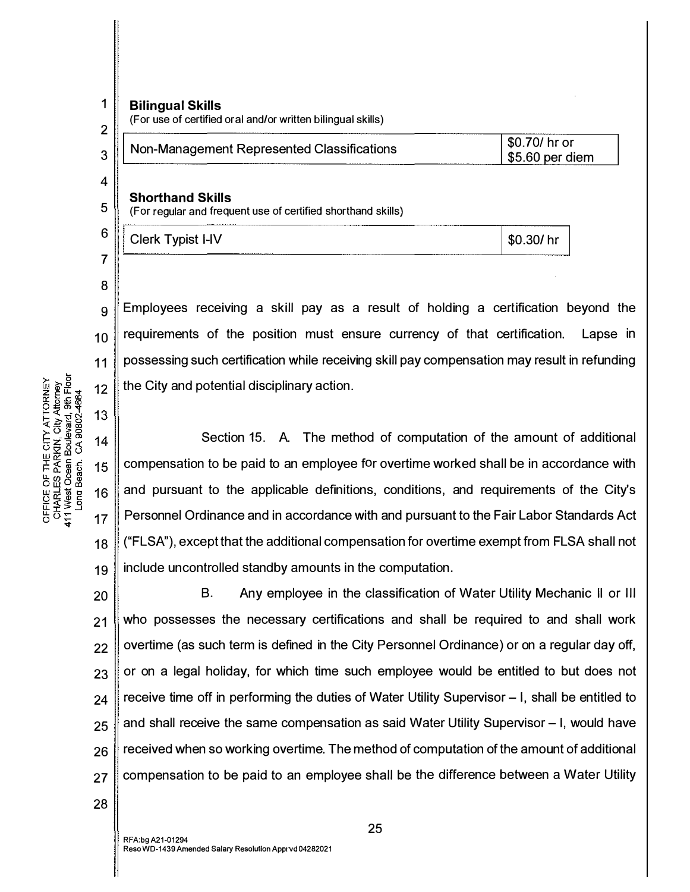$\mathfrak{p}$ 

8

11

 $12$ 

13

15

16

 $17$ 

OFFICE OF THE CITY ATTORNEY<br>CHARLES PARKIN, City Attorney<br>411 West Ocean Boulevard, 9th Floor<br>Long Beach. CA 90802-4664

18

1

## Bilingual Skills

(For use of certified oral and/or written bilingual skills)

| 3 ∥ | Non-Management Represented Classifications | \$0.70/ hr or<br>$\frac{1}{5}$ \$5.60 per diem |
|-----|--------------------------------------------|------------------------------------------------|
| 4   |                                            |                                                |
| -   | <b>Shorthand Skills</b>                    |                                                |

 $5 \parallel$  (For regular and frequent use of certified shorthand skills)

| 6 | <br>--------------------------<br>------<br>_______<br>__<br><b>I-IV</b><br>vniet<br>- mil.<br>הוסוע<br>ייש<br>. . | .ፍ. |
|---|--------------------------------------------------------------------------------------------------------------------|-----|
| ⇁ | --------                                                                                                           |     |

 $\mathbf{g}$  Employees receiving a skill pay as a result of holding a certification beyond the  $10$  requirements of the position must ensure currency of that certification. Lapse in possessing such certification while receiving skill pay compensation may result in refunding the City and potential disciplinary action.

Section 15. A. The method of computation of the amount of additional  $14$ compensation to be paid to an employee for overtime worked shall be in accordance with and pursuant to the applicable definitions, conditions, and requirements of the City's Personnel Ordinance and in accordance with and pursuant to the Fair Labor Standards Act ("FLSA"), except that the additional compensation for overtime exempt from FLSA shall not include uncontrolled standby amounts in the computation. 19

20 B. Any employee in the classification of Water Utility Mechanic II or Ill who possesses the necessary certifications and shall be required to and shall work | overtime (as such term is defined in the City Personnel Ordinance) or on a regular day off, or on a legal holiday, for which time such employee would be entitled to but does not | receive time off in performing the duties of Water Utility Supervisor – I, shall be entitled to | and shall receive the same compensation as said Water Utility Supervisor – I, would have received when so working overtime. The method of computation of the amount of additional 27 Compensation to be paid to an employee shall be the difference between a Water Utility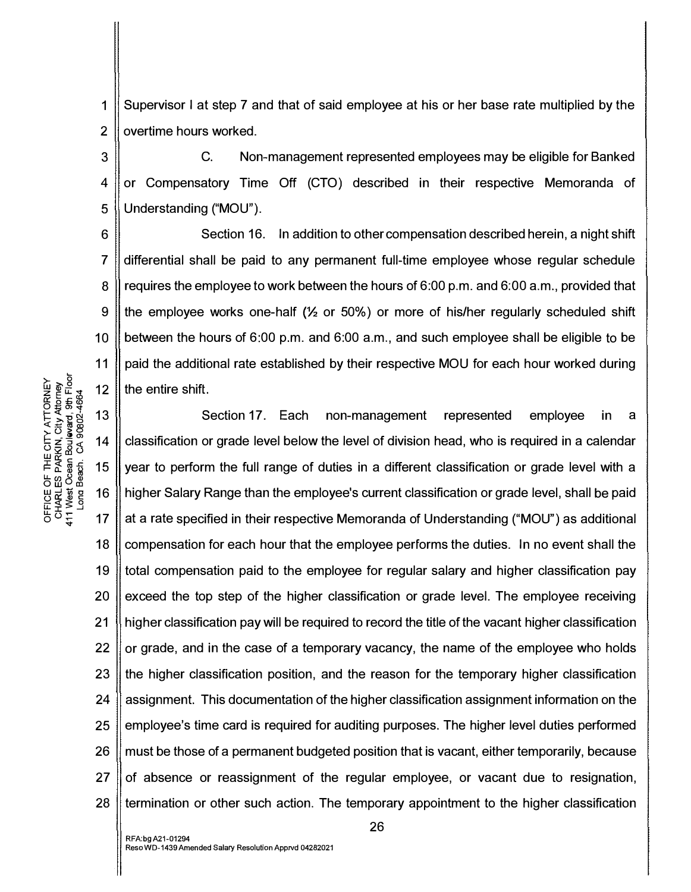1 2 Supervisor I at step 7 and that of said employee at his or her base rate multiplied by the overtime hours worked.

3 4 5 C. Non-management represented employees may be eligible for Banked or Compensatory Time Off (CTO) described in their respective Memoranda of Understanding ("MOU").

6 7 8 9 10 11 Section 16. In addition to other compensation described herein, a night shift differential shall be paid to any permanent full-time employee whose regular schedule requires the employee to work between the hours of 6:00 p.m. and 6:00 a.m., provided that the employee works one-half  $(\frac{1}{2}$  or 50%) or more of his/her regularly scheduled shift between the hours of 6:00 p.m. and 6:00 a.m., and such employee shall be eligible to be paid the additional rate established by their respective MOU for each hour worked during the entire shift.

동ㅎㅎ - 17 18 19 20 21 22 23 24 25 26 27 28 Section 17. Each non-management represented employee in a classification or grade level below the level of division head, who is required in a calendar year to perform the full range of duties in a different classification or grade level with a higher Salary Range than the employee's current classification or grade level, shall be paid at a rate specified in their respective Memoranda of Understanding ("MOU") as additional compensation for each hour that the employee performs the duties. In no event shall the total compensation paid to the employee for regular salary and higher classification pay exceed the top step of the higher classification or grade level. The employee receiving higher classification pay will be required to record the title of the vacant higher classification or grade, and in the case of a temporary vacancy, the name of the employee who holds the higher classification position, and the reason for the temporary higher classification assignment. This documentation of the higher classification assignment information on the employee's time card is required for auditing purposes. The higher level duties performed must be those of a permanent budgeted position that is vacant, either temporarily, because of absence or reassignment of the regular employee, or vacant due to resignation, termination or other such action. The temporary appointment to the higher classification

> 5<br><u>ம</u>ாழ்<br>2. மீத் 12 **EXPORT SERVE SERVE SERVE SERVE SERVE SERVE SERVE SERVE SERVE SERVE SERVE SERVE SERVE SERVE SERVE SERVE SERVE SERVE SERVE SERVE SERVE SERVE SERVE SERVE SERVE SERVE SERVE SERVE SERVE SERVE SERVE SERVE SERVE SERVE SERVE SERV**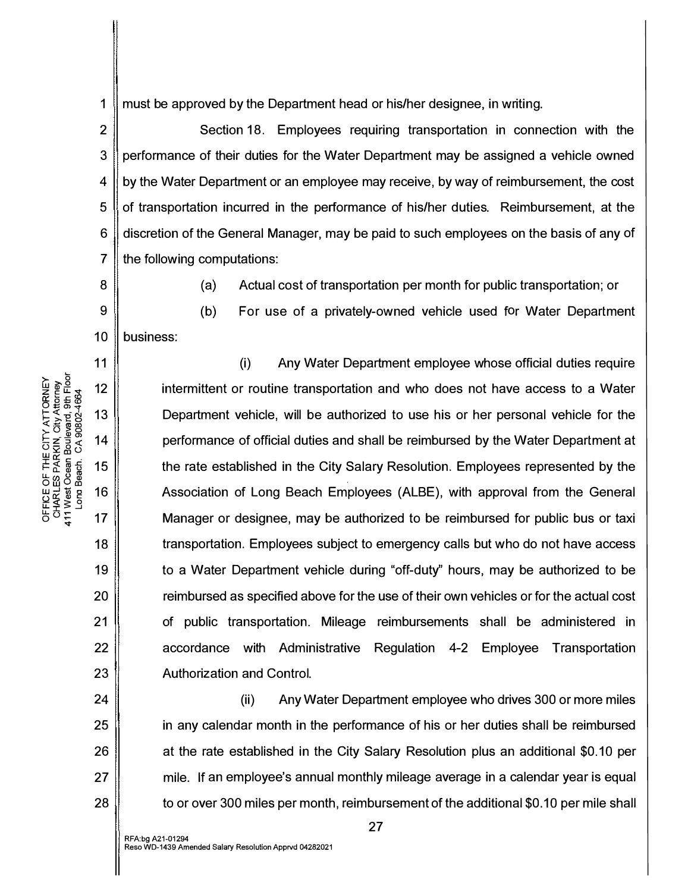1 must be approved by the Department head or his/her designee, in writing.

2 3 4 5 6 7 Section 18. Employees requiring transportation in connection with the performance of their duties for the Water Department may be assigned a vehicle owned by the Water Department or an employee may receive, by way of reimbursement, the cost of transportation incurred in the performance of his/her duties. Reimbursement, at the discretion of the General Manager, may be paid to such employees on the basis of any of the following computations:

8

9

11

12

13

14

15

16

17

18

19

20

21

22

23

24

25

26

27

28

ATTORNEY<br>ity Attorney<br>ard, 9th Floor<br>802-4664

THE CITY<br>PARKIN, C<br>ean Boulev<br>ean. CA 90

FICE OF<br>HARLES I<br>West Oce<br>Long Bea

5 g  $\dot{z}$ 

(a} Actual cost of transportation per month for public transportation; or

10 business:

(b} For use of a privately-owned vehicle used for Water Department (i) Any Water Department employee whose official duties require

intermittent or routine transportation and who does not have access to a Water Department vehicle, will be authorized to use his or her personal vehicle for the performance of official duties and shall be reimbursed by the Water Department at the rate established in the City Salary Resolution. Employees represented by the Association of Long Beach Employees (ALBE), with approval from the General Manager or designee, may be authorized to be reimbursed for public bus or taxi transportation. Employees subject to emergency calls but who do not have access to a Water Department vehicle during "off-duty" hours, may be authorized to be reimbursed as specified above for the use of their own vehicles or for the actual cost of public transportation. Mileage reimbursements shall be administered in accordance with Administrative Regulation 4-2 Employee Transportation Authorization and Control.

(ii) Any Water Department employee who drives 300 or more miles in any calendar month in the performance of his or her duties shall be reimbursed at the rate established in the City Salary Resolution plus an additional \$0.10 per mile. If an employee's annual monthly mileage average in a calendar year is equal to or over 300 miles per month, reimbursement of the additional \$0.10 per mile shall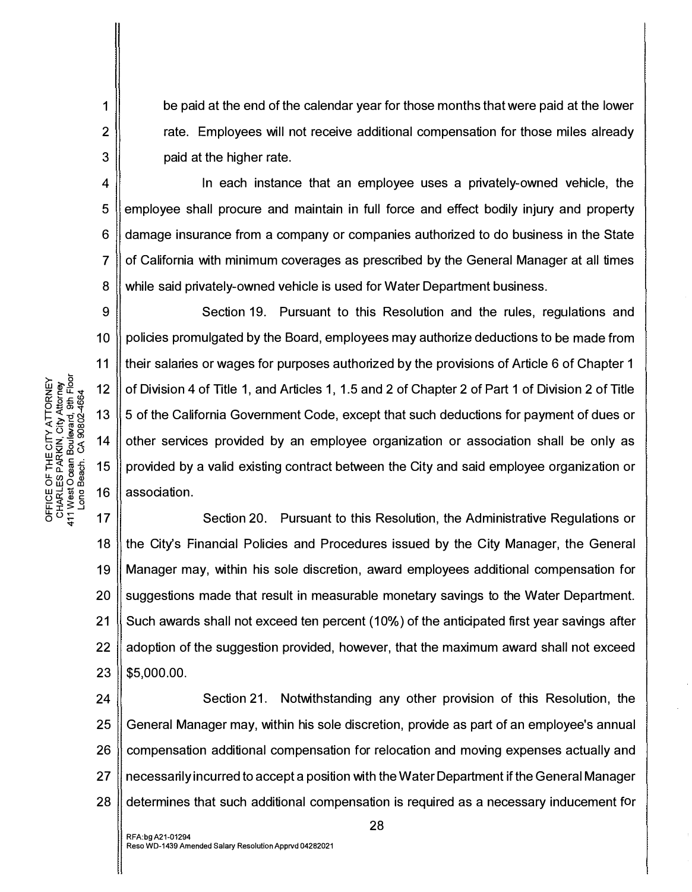be paid at the end of the calendar year for those months that were paid at the lower rate. Employees will not receive additional compensation for those miles already paid at the higher rate.

4 5 6 7 8 Jn each instance that an employee uses a privately-owned vehicle, the employee shall procure and maintain in full force and effect bodily injury and property damage insurance from a company or companies authorized to do business in the State of California with minimum coverages as prescribed by the General Manager at all times while said privately-owned vehicle is used for Water Department business.

9 10 11 ≿<br>ຂໍ້ອີດ<br>ຂໍ້ອີດ 12 Section 19. Pursuant to this Resolution and the rules, regulations and policies promulgated by the Board, employees may authorize deductions to be made from their salaries or wages for purposes authorized by the provisions of Article 6 of Chapter 1 of Division 4 of Title 1, and Articles 1, 1.5 and 2 of Chapter 2 of Part 1 of Division 2 of Title 5 of the California Government Code, except that such deductions for payment of dues or other services provided by an employee organization or association shall be only as provided by a valid existing contract between the City and said employee organization or association.

18 19 20 21 22 23 Section 20. Pursuant to this Resolution, the Administrative Regulations or the City's Financial Policies and Procedures issued by the City Manager, the General Manager may, within his sole discretion, award employees additional compensation for suggestions made that result in measurable monetary savings to the Water Department. Such awards shall not exceed ten percent (10%) of the anticipated first year savings after adoption of the suggestion provided, however, that the maximum award shall not exceed \$5,000.00.

24 25 26 27 28 Section 21. Notwithstanding any other provision of this Resolution, the General Manager may, within his sole discretion, provide as part of an employee's annual compensation additional compensation for relocation and moving expenses actually and necessarily incurred to accept a position with the Water Department if the General Manager determines that such additional compensation is required as a necessary inducement for

 $\mathsf{g}\in\mathsf{g}\mathsf{g}$  $\frac{1}{2}$ <br>  $\frac{1}{2}$ <br>  $\frac{1}{2}$ <br>  $\frac{1}{2}$ <br>  $\frac{1}{2}$ <br>  $\frac{1}{2}$ <br>  $\frac{1}{2}$ <br>  $\frac{1}{2}$ <br>  $\frac{1}{2}$ <br>  $\frac{1}{2}$ <br>  $\frac{1}{2}$ <br>  $\frac{1}{2}$ <br>  $\frac{1}{2}$ <br>  $\frac{1}{2}$ <br>  $\frac{1}{2}$ <br>  $\frac{1}{2}$ <br>  $\frac{1}{2}$ <br>  $\frac{1}{2}$ <br>  $\frac{1}{2}$ <br>  $\frac{1}{2}$ <br> HE OF THE<br>HARLES PAR<br>AMEN OGEN<br>VISI OO BEGI<br>LOO BEGI<br>LOO BEGI ㅎㅎㅎ 17

1

2

3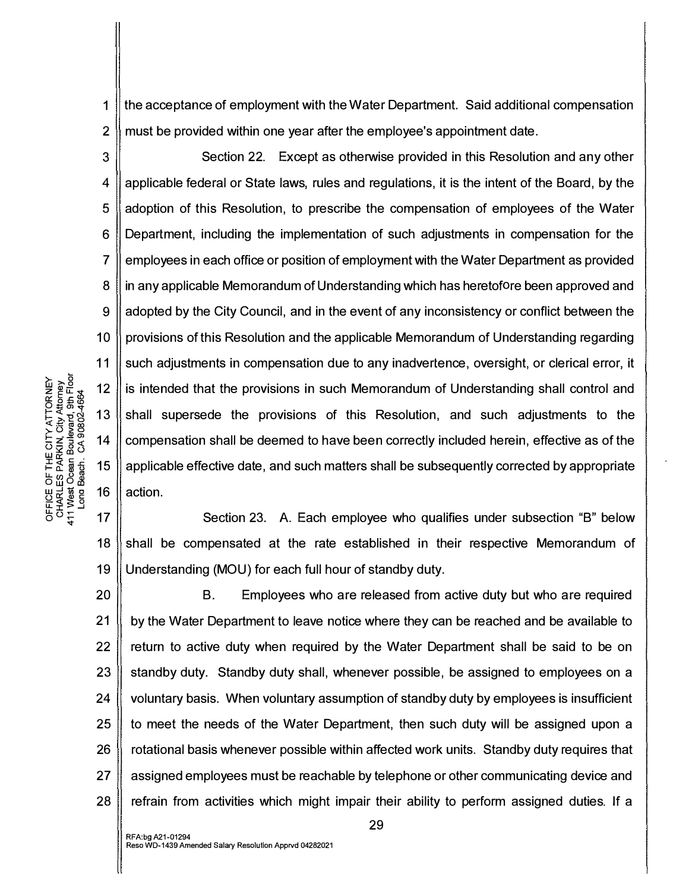1 2 the acceptance of employment with the Water Department. Said additional compensation must be provided within one year after the employee's appointment date.

3 4 5 6 7 8 9 10 11 Section 22. Except as otherwise provided in this Resolution and any other applicable federal or State laws, rules and regulations, it is the intent of the Board, by the adoption of this Resolution, to prescribe the compensation of employees of the Water Department, including the implementation of such adjustments in compensation for the employees in each office or position of employment with the Water Department as provided in any applicable Memorandum of Understanding which has heretofore been approved and adopted by the City Council, and in the event of any inconsistency or conflict between the provisions of this Resolution and the applicable Memorandum of Understanding regarding such adjustments in compensation due to any inadvertence, oversight, or clerical error, it is intended that the provisions in such Memorandum of Understanding shall control and shall supersede the provisions of this Resolution, and such adjustments to the compensation shall be deemed to have been correctly included herein, effective as of the applicable effective date, and such matters shall be subsequently corrected by appropriate action.

18 19 Section 23. A. Each employee who qualifies under subsection "B" below shall be compensated at the rate established in their respective Memorandum of Understanding (MOU) for each full hour of standby duty.

20 21 22 23 24 25 26 27 28 B. Employees who are released from active duty but who are required by the Water Department to leave notice where they can be reached and be available to return to active duty when required by the Water Department shall be said to be on standby duty. Standby duty shall, whenever possible, be assigned to employees on a voluntary basis. When voluntary assumption of standby duty by employees is insufficient to meet the needs of the Water Department, then such duty will be assigned upon a rotational basis whenever possible within affected work units. Standby duty requires that assigned employees must be reachable by telephone or other communicating device and refrain from activities which might impair their ability to perform assigned duties. If a

≿⊢ 5<br>ຂ້ອຍເ<br>ຂ້ອຍເ E = #<br>በ<br>የመዘ<br>የ 13 I-<( "N <( I- >."Eo :!::::! co co f: () >o -� en - z ::I <( 14 0 2 0 <sup>0</sup>LI.l <D  $\frac{1}{2}$ <br> $\frac{1}{2}$   $\frac{1}{2}$   $\frac{1}{2}$   $\frac{1}{2}$   $\frac{1}{2}$   $\frac{1}{2}$   $\frac{1}{2}$   $\frac{1}{2}$   $\frac{1}{2}$   $\frac{1}{2}$   $\frac{1}{2}$   $\frac{1}{2}$   $\frac{1}{2}$   $\frac{1}{2}$   $\frac{1}{2}$   $\frac{1}{2}$   $\frac{1}{2}$   $\frac{1}{2}$   $\frac{1}{2}$   $\frac{1}{2}$   $\frac{1}{2}$  LLw �m 0 w 0 co  $\frac{1}{2}$   $\frac{1}{8}$   $\frac{1}{8}$   $\frac{1}{8}$   $\frac{1}{8}$  16  $\begin{matrix} 2 \times 5 \\ 1 \times 5 \\ 0 \times 5 \\ 0 \end{matrix}$  17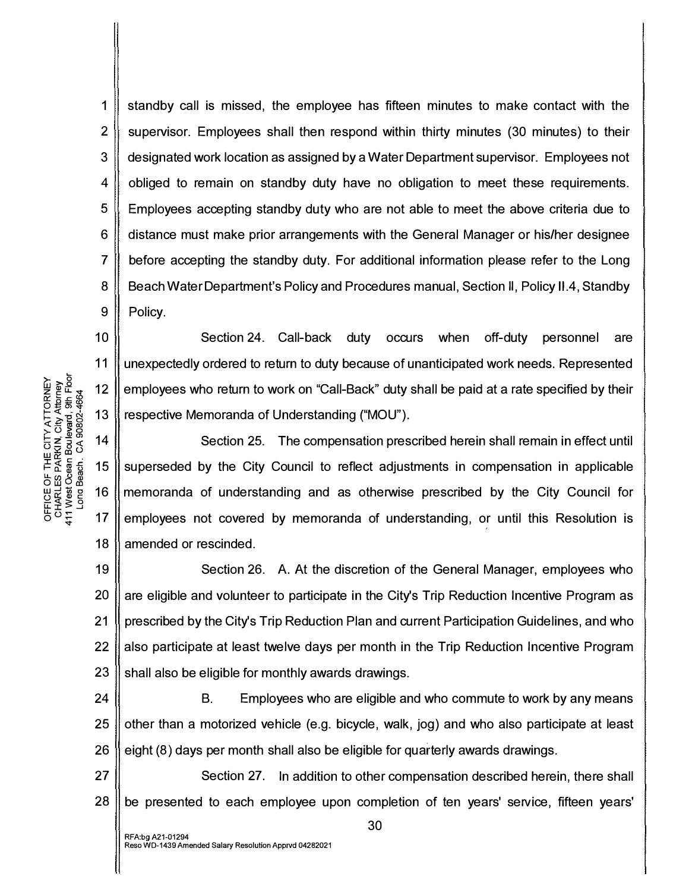1 2 3 4 5 6 7 8 9 standby call is missed, the employee has fifteen minutes to make contact with the supervisor. Employees shall then respond within thirty minutes (30 minutes) to their designated work location as assigned by a Water Department supervisor. Employees not obliged to remain on standby duty have no obligation to meet these requirements. Employees accepting standby duty who are not able to meet the above criteria due to distance must make prior arrangements with the General Manager or his/her designee before accepting the standby duty. For additional information please refer to the Long Beach Water Department's Policy and Procedures manual, Section II, Policy 11 .4, Standby Policy.

10 11 Section 24. Call-back duty occurs when off-duty personnel are unexpectedly ordered to return to duty because of unanticipated work needs. Represented employees who return to work on "Call-Back" duty shall be paid at a rate specified by their respective Memoranda of Understanding ("MOU").

18 Section 25. The compensation prescribed herein shall remain in effect until superseded by the City Council to reflect adjustments in compensation in applicable memoranda of understanding and as otherwise prescribed by the City Council for employees not covered by memoranda of understanding, or until this Resolution is amended or rescinded.

19 20 21 22 23 Section 26. A. At the discretion of the General Manager, employees who are eligible and volunteer to participate in the City's Trip Reduction Incentive Program as prescribed by the City's Trip Reduction Plan and current Participation Guidelines, and who also participate at least twelve days per month in the Trip Reduction Incentive Program shall also be eligible for monthly awards drawings.

24 25 26 B. Employees who are eligible and who commute to work by any means other than a motorized vehicle (e.g. bicycle, walk, jog) and who also participate at least eight (8) days per month shall also be eligible for quarterly awards drawings.

27 28 Section 27. In addition to other compensation described herein, there shall be presented to each employee upon completion of ten years' service, fifteen years'

K)<br>ਸਵਾਵਾਰ 12<br>ਹਵਾਲੇ ਪ੍ਰੈ<br>ਪੜ੍ਹਾਵਾਰ 12<br>ਪੜ੍ਹਾਵਾਰ 12  $\begin{array}{ccc} \n\pm \sqrt{2} & \text{if } 13 \\
\hline \n\pm \frac{1}{2} & \text{if } 8 \\
\pm \frac{1}{2} & \text{if } 9\n\end{array}$  14  $\frac{2}{10}$   $\frac{2}{10}$   $\frac{2}{10}$   $\frac{2}{10}$   $\frac{2}{10}$   $\frac{2}{10}$   $\frac{2}{10}$   $\frac{2}{10}$   $\frac{2}{10}$   $\frac{2}{10}$   $\frac{2}{10}$   $\frac{2}{10}$   $\frac{2}{10}$   $\frac{2}{10}$   $\frac{2}{10}$   $\frac{2}{10}$   $\frac{2}{10}$   $\frac{2}{10}$   $\frac{2}{10}$   $\frac{2}{10}$  토통 ( 15  $500\%$  $\frac{10}{3}$   $\frac{10}{3}$   $\frac{16}{3}$   $\frac{16}{3}$   $\frac{16}{3}$ 正主*ろ* 년<br>0 0 도 17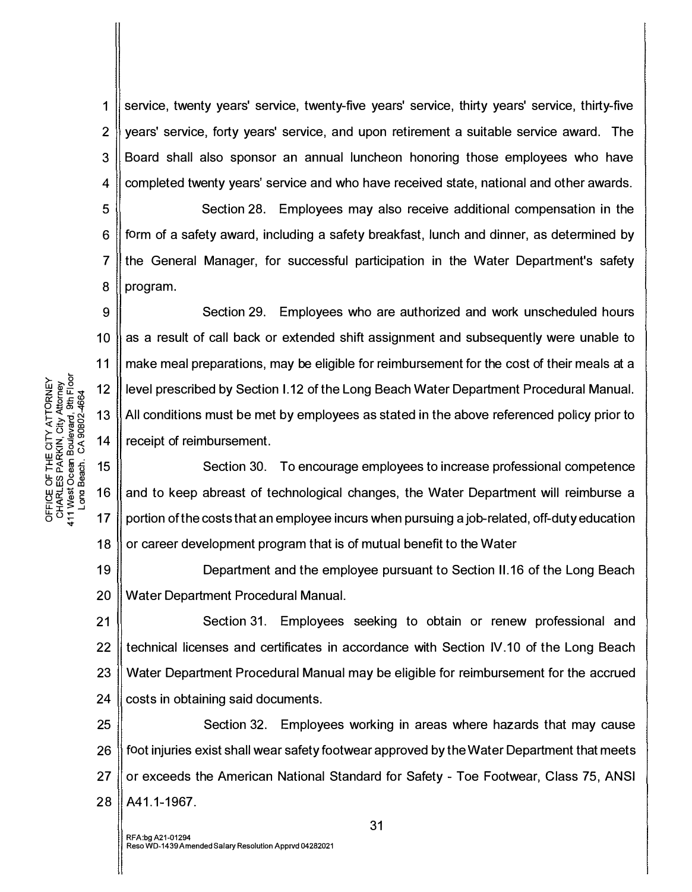1 Service, twenty years' service, twenty-five years' service, thirty years' service, thirty-five 2 years' service, forty years' service, and upon retirement a suitable service award. The 3 Board shall also sponsor an annual luncheon honoring those employees who have 4 completed twenty years' service and who have received state, national and other awards.

5 Section 28. Employees may also receive additional compensation in the 6  $\parallel$  form of a safety award, including a safety breakfast, lunch and dinner, as determined by 7 Ithe General Manager, for successful participation in the Water Department's safety 8 program.

9 10 11 12 13 14 Section 29. Employees who are authorized and work unscheduled hours as a result of call back or extended shift assignment and subsequently were unable to make meal preparations, may be eligible for reimbursement for the cost of their meals at a level prescribed by Section 1.12 of the Long Beach Water Department Procedural Manual. All conditions must be met by employees as stated in the above referenced policy prior to receipt of reimbursement.

15 16 17 18 Section 30. To encourage employees to increase professional competence and to keep abreast of technological changes, the Water Department will reimburse a portion of the costs that an employee incurs when pursuing a job-related, off-duty education or career development program that is of mutual benefit to the Water

19 20 Department and the employee pursuant to Section 11.16 of the Long Beach Water Department Procedural Manual.

21 22 23 Section 31. Employees seeking to obtain or renew professional and technical licenses and certificates in accordance with Section IV.10 of the Long Beach Water Department Procedural Manual may be eligible for reimbursement for the accrued  $24$  costs in obtaining said documents.

25 || Section 32. Employees working in areas where hazards that may cause 26 foot injuries exist shall wear safety footwear approved by the Water Department that meets 27 | or exceeds the American National Standard for Safety - Toe Footwear, Class 75, ANSI 28 | A41.1-1967.

7NEY<br>rey<br>r Floor<br>c & IE CITY ATTOR<br>.RKIN, City Attor<br>n Boulevard, 9th<br>. CA 90802-466 보 두 동 등 .<br>I- 군 동 등 .<br>I- 그 음 등 LL. en ° m O w Oa:i OFFICE<br>CHARL<br>411 West<br>Long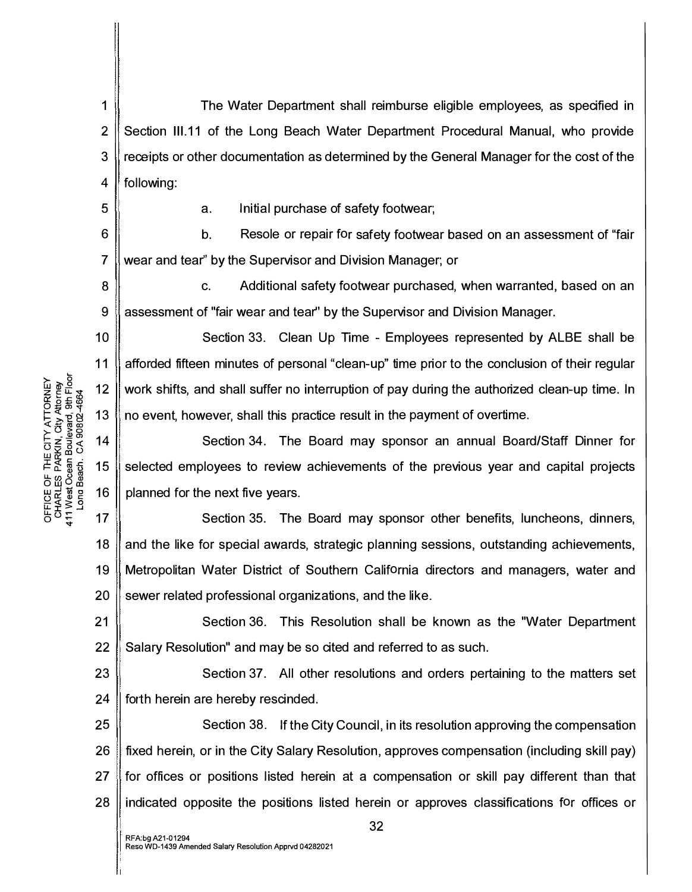1 The Water Department shall reimburse eligible employees, as specified in 2 Section III.11 of the Long Beach Water Department Procedural Manual, who provide 3 receipts or other documentation as determined by the General Manager for the cost of the 4 || following:

5

11

a. Initial purchase of safety footwear;

6 7 b. Resole or repair for safety footwear based on an assessment of "fair wear and tear" by the Supervisor and Division Manager; or

8 9 c. Additional safety footwear purchased, when warranted, based on an assessment of "fair wear and tear" by the Supervisor and Division Manager.

10 Section 33. Clean Up Time - Employees represented by ALBE shall be afforded fifteen minutes of personal "clean-up" time prior to the conclusion of their regular work shifts, and shall suffer no interruption of pay during the authorized clean-up time. In no event, however, shall this practice result in the payment of overtime.

14 15 16 Section 34. The Board may sponsor an annual Board/Staff Dinner for selected employees to review achievements of the previous year and capital projects planned for the next five years.

17 18 19 20 Section 35. The Board may sponsor other benefits, luncheons, dinners, and the like for special awards, strategic planning sessions, outstanding achievements, Metropolitan Water District of Southern California directors and managers, water and sewer related professional organizations, and the like.

21 22 Section 36. This Resolution shall be known as the "Water Department Salary Resolution" and may be so cited and referred to as such.

23 24 Section 37. All other resolutions and orders pertaining to the matters set forth herein are hereby rescinded.

25 26 27 28 Section 38. If the City Council, in its resolution approving the compensation fixed herein, or in the City Salary Resolution, approves compensation (including skill pay) for offices or positions listed herein at a compensation or skill pay different than that indicated opposite the positions listed herein or approves classifications for offices or

ATTORNEY<br>ity Attorney<br>ard, 9th Floor<br>802-4664 E CITY<br>RKIN, C<br>RKIN, C<br>1 Boulev<br>- CA 90 CE OF TH<br>ARLES PAI<br>/est Ocean<br>»na Beach. o<br>Fre<br>: : s<br>Era 12 13